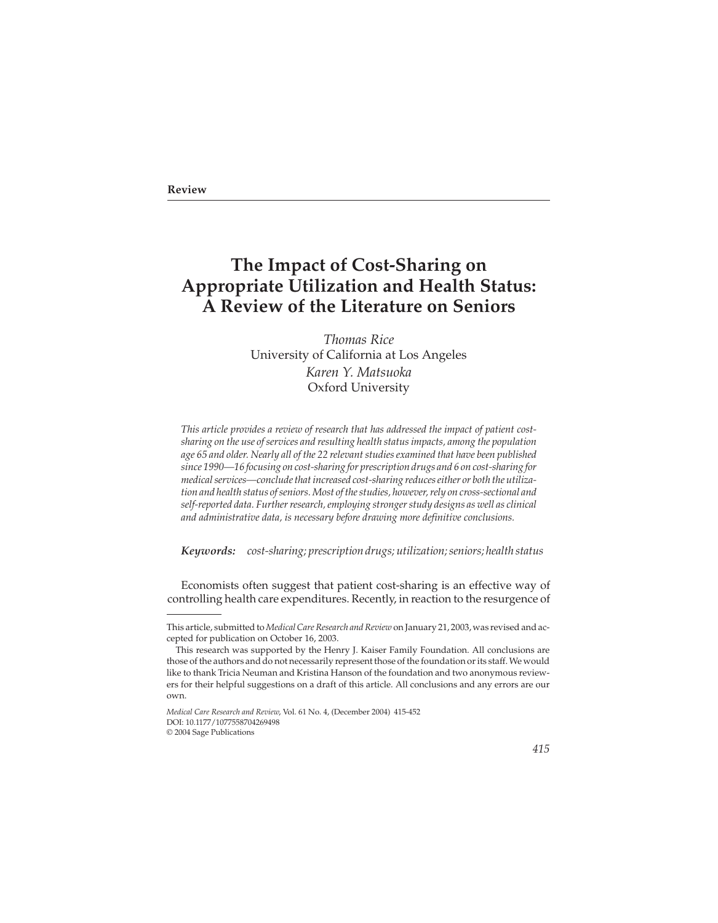## **Review**

# **The Impact of Cost-Sharing on Appropriate Utilization and Health Status: A Review of the Literature on Seniors**

*Thomas Rice* University of California at Los Angeles *Karen Y. Matsuoka* Oxford University

*This article provides a review of research that has addressed the impact of patient costsharing on the use of services and resulting health status impacts, among the population age 65 and older. Nearly all of the 22 relevant studies examined that have been published since 1990—16 focusing on cost-sharing for prescription drugs and 6 on cost-sharing for medical services—conclude that increased cost-sharing reduces either or both the utilization and health status of seniors. Most of the studies, however, rely on cross-sectional and self-reported data. Further research, employing stronger study designs as well as clinical and administrative data, is necessary before drawing more definitive conclusions.*

*Keywords: cost-sharing; prescription drugs; utilization; seniors; health status*

Economists often suggest that patient cost-sharing is an effective way of controlling health care expenditures. Recently, in reaction to the resurgence of

This article, submitted to *Medical Care Research and Review* on January 21, 2003, was revised and accepted for publication on October 16, 2003.

This research was supported by the Henry J. Kaiser Family Foundation. All conclusions are those of the authors and do not necessarily represent those of the foundation or its staff. We would like to thank Tricia Neuman and Kristina Hanson of the foundation and two anonymous reviewers for their helpful suggestions on a draft of this article. All conclusions and any errors are our own.

*Medical Care Research and Review*, Vol. 61 No. 4, (December 2004) 415-452 DOI: 10.1177/1077558704269498

<sup>© 2004</sup> Sage Publications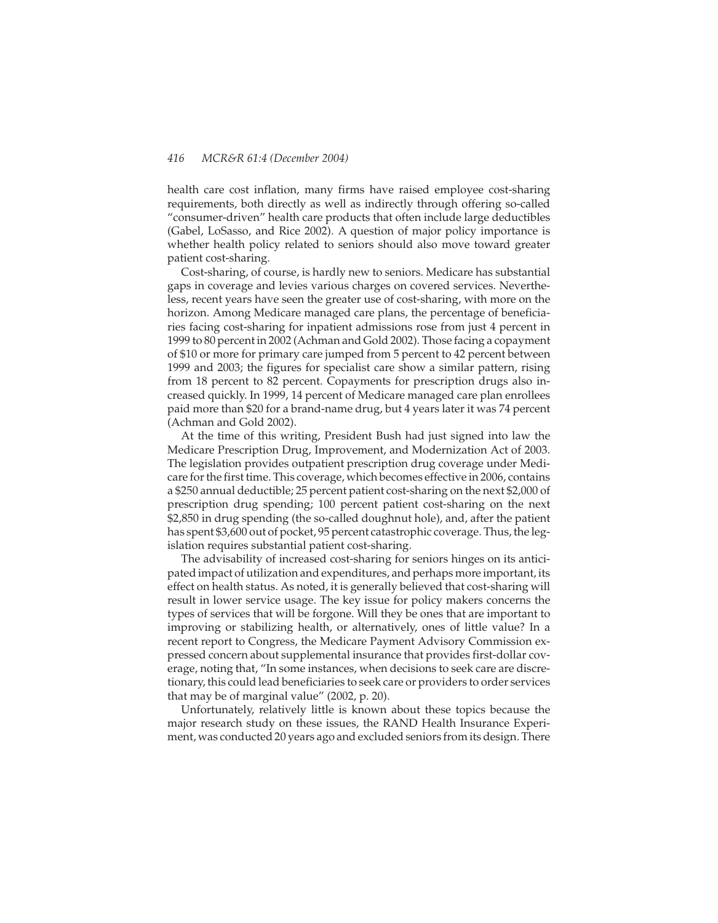health care cost inflation, many firms have raised employee cost-sharing requirements, both directly as well as indirectly through offering so-called "consumer-driven" health care products that often include large deductibles (Gabel, LoSasso, and Rice 2002). A question of major policy importance is whether health policy related to seniors should also move toward greater patient cost-sharing.

Cost-sharing, of course, is hardly new to seniors. Medicare has substantial gaps in coverage and levies various charges on covered services. Nevertheless, recent years have seen the greater use of cost-sharing, with more on the horizon. Among Medicare managed care plans, the percentage of beneficiaries facing cost-sharing for inpatient admissions rose from just 4 percent in 1999 to 80 percent in 2002 (Achman and Gold 2002). Those facing a copayment of \$10 or more for primary care jumped from 5 percent to 42 percent between 1999 and 2003; the figures for specialist care show a similar pattern, rising from 18 percent to 82 percent. Copayments for prescription drugs also increased quickly. In 1999, 14 percent of Medicare managed care plan enrollees paid more than \$20 for a brand-name drug, but 4 years later it was 74 percent (Achman and Gold 2002).

At the time of this writing, President Bush had just signed into law the Medicare Prescription Drug, Improvement, and Modernization Act of 2003. The legislation provides outpatient prescription drug coverage under Medicare for the first time. This coverage, which becomes effective in 2006, contains a \$250 annual deductible; 25 percent patient cost-sharing on the next \$2,000 of prescription drug spending; 100 percent patient cost-sharing on the next \$2,850 in drug spending (the so-called doughnut hole), and, after the patient has spent \$3,600 out of pocket, 95 percent catastrophic coverage. Thus, the legislation requires substantial patient cost-sharing.

The advisability of increased cost-sharing for seniors hinges on its anticipated impact of utilization and expenditures, and perhaps more important, its effect on health status. As noted, it is generally believed that cost-sharing will result in lower service usage. The key issue for policy makers concerns the types of services that will be forgone. Will they be ones that are important to improving or stabilizing health, or alternatively, ones of little value? In a recent report to Congress, the Medicare Payment Advisory Commission expressed concern about supplemental insurance that provides first-dollar coverage, noting that, "In some instances, when decisions to seek care are discretionary, this could lead beneficiaries to seek care or providers to order services that may be of marginal value" (2002, p. 20).

Unfortunately, relatively little is known about these topics because the major research study on these issues, the RAND Health Insurance Experiment, was conducted 20 years ago and excluded seniors from its design. There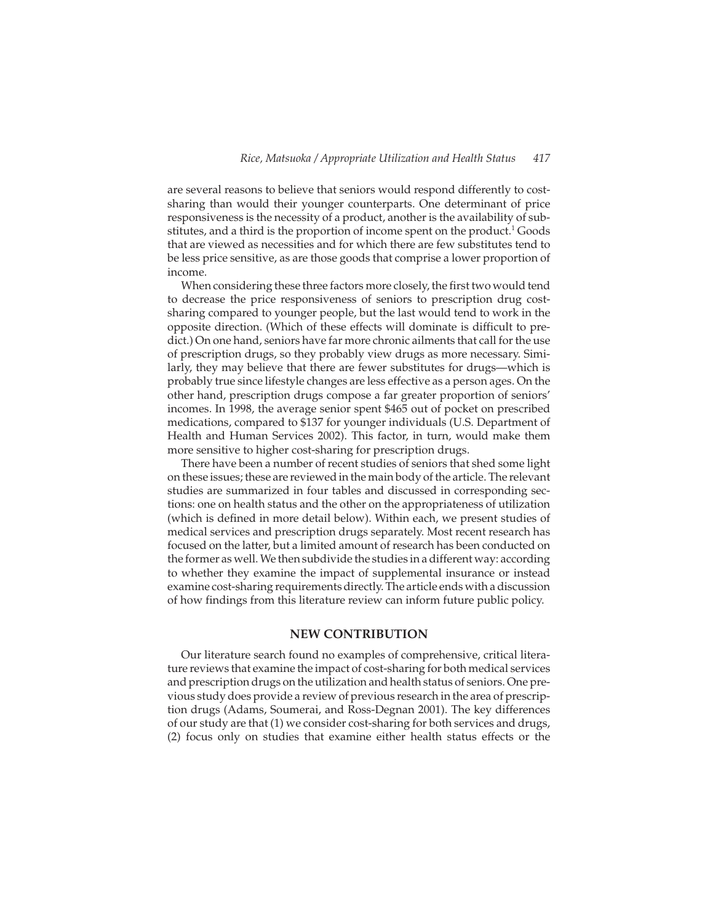are several reasons to believe that seniors would respond differently to costsharing than would their younger counterparts. One determinant of price responsiveness is the necessity of a product, another is the availability of substitutes, and a third is the proportion of income spent on the product.<sup>1</sup> Goods that are viewed as necessities and for which there are few substitutes tend to be less price sensitive, as are those goods that comprise a lower proportion of income.

When considering these three factors more closely, the first two would tend to decrease the price responsiveness of seniors to prescription drug costsharing compared to younger people, but the last would tend to work in the opposite direction. (Which of these effects will dominate is difficult to predict.) On one hand, seniors have far more chronic ailments that call for the use of prescription drugs, so they probably view drugs as more necessary. Similarly, they may believe that there are fewer substitutes for drugs—which is probably true since lifestyle changes are less effective as a person ages. On the other hand, prescription drugs compose a far greater proportion of seniors' incomes. In 1998, the average senior spent \$465 out of pocket on prescribed medications, compared to \$137 for younger individuals (U.S. Department of Health and Human Services 2002). This factor, in turn, would make them more sensitive to higher cost-sharing for prescription drugs.

There have been a number of recent studies of seniors that shed some light on these issues; these are reviewed in the main body of the article. The relevant studies are summarized in four tables and discussed in corresponding sections: one on health status and the other on the appropriateness of utilization (which is defined in more detail below). Within each, we present studies of medical services and prescription drugs separately. Most recent research has focused on the latter, but a limited amount of research has been conducted on the former as well. We then subdivide the studies in a different way: according to whether they examine the impact of supplemental insurance or instead examine cost-sharing requirements directly. The article ends with a discussion of how findings from this literature review can inform future public policy.

# **NEW CONTRIBUTION**

Our literature search found no examples of comprehensive, critical literature reviews that examine the impact of cost-sharing for both medical services and prescription drugs on the utilization and health status of seniors. One previous study does provide a review of previous research in the area of prescription drugs (Adams, Soumerai, and Ross-Degnan 2001). The key differences of our study are that (1) we consider cost-sharing for both services and drugs, (2) focus only on studies that examine either health status effects or the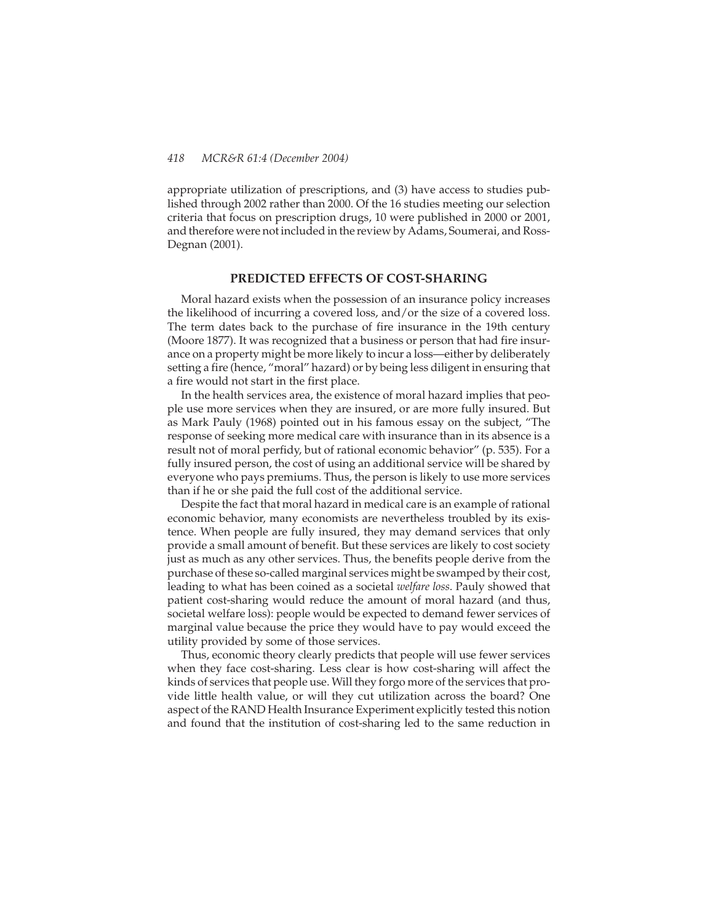appropriate utilization of prescriptions, and (3) have access to studies published through 2002 rather than 2000. Of the 16 studies meeting our selection criteria that focus on prescription drugs, 10 were published in 2000 or 2001, and therefore were not included in the review by Adams, Soumerai, and Ross-Degnan (2001).

# **PREDICTED EFFECTS OF COST-SHARING**

Moral hazard exists when the possession of an insurance policy increases the likelihood of incurring a covered loss, and/or the size of a covered loss. The term dates back to the purchase of fire insurance in the 19th century (Moore 1877). It was recognized that a business or person that had fire insurance on a property might be more likely to incur a loss—either by deliberately setting a fire (hence, "moral" hazard) or by being less diligent in ensuring that a fire would not start in the first place.

In the health services area, the existence of moral hazard implies that people use more services when they are insured, or are more fully insured. But as Mark Pauly (1968) pointed out in his famous essay on the subject, "The response of seeking more medical care with insurance than in its absence is a result not of moral perfidy, but of rational economic behavior" (p. 535). For a fully insured person, the cost of using an additional service will be shared by everyone who pays premiums. Thus, the person is likely to use more services than if he or she paid the full cost of the additional service.

Despite the fact that moral hazard in medical care is an example of rational economic behavior, many economists are nevertheless troubled by its existence. When people are fully insured, they may demand services that only provide a small amount of benefit. But these services are likely to cost society just as much as any other services. Thus, the benefits people derive from the purchase of these so-called marginal services might be swamped by their cost, leading to what has been coined as a societal *welfare loss*. Pauly showed that patient cost-sharing would reduce the amount of moral hazard (and thus, societal welfare loss): people would be expected to demand fewer services of marginal value because the price they would have to pay would exceed the utility provided by some of those services.

Thus, economic theory clearly predicts that people will use fewer services when they face cost-sharing. Less clear is how cost-sharing will affect the kinds of services that people use. Will they forgo more of the services that provide little health value, or will they cut utilization across the board? One aspect of the RAND Health Insurance Experiment explicitly tested this notion and found that the institution of cost-sharing led to the same reduction in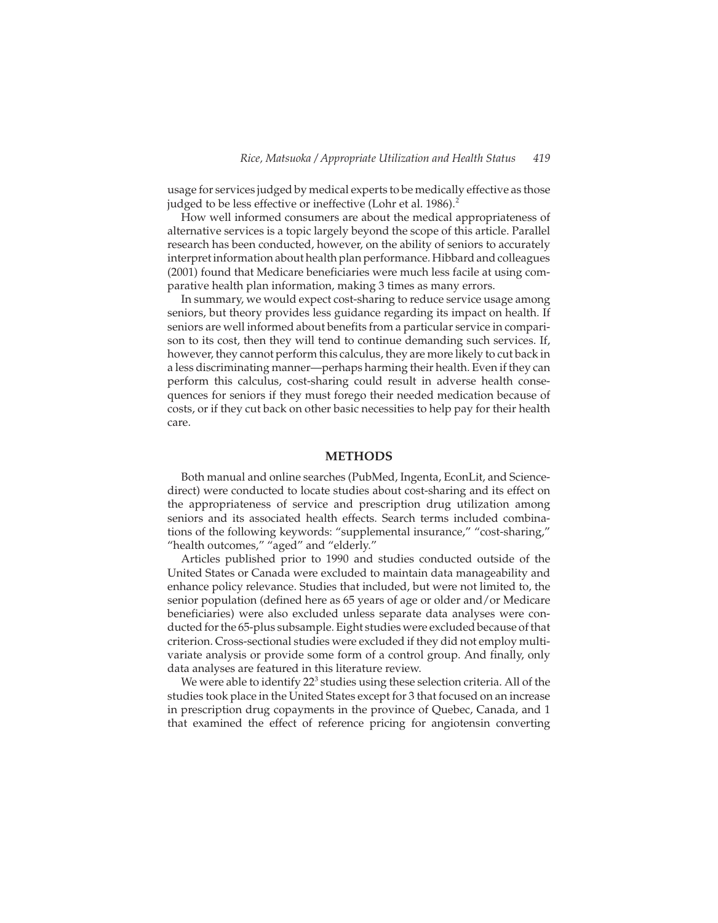usage for services judged by medical experts to be medically effective as those judged to be less effective or ineffective (Lohr et al. 1986).<sup>2</sup>

How well informed consumers are about the medical appropriateness of alternative services is a topic largely beyond the scope of this article. Parallel research has been conducted, however, on the ability of seniors to accurately interpret information about health plan performance. Hibbard and colleagues (2001) found that Medicare beneficiaries were much less facile at using comparative health plan information, making 3 times as many errors.

In summary, we would expect cost-sharing to reduce service usage among seniors, but theory provides less guidance regarding its impact on health. If seniors are well informed about benefits from a particular service in comparison to its cost, then they will tend to continue demanding such services. If, however, they cannot perform this calculus, they are more likely to cut back in a less discriminating manner—perhaps harming their health. Even if they can perform this calculus, cost-sharing could result in adverse health consequences for seniors if they must forego their needed medication because of costs, or if they cut back on other basic necessities to help pay for their health care.

## **METHODS**

Both manual and online searches (PubMed, Ingenta, EconLit, and Sciencedirect) were conducted to locate studies about cost-sharing and its effect on the appropriateness of service and prescription drug utilization among seniors and its associated health effects. Search terms included combinations of the following keywords: "supplemental insurance," "cost-sharing," "health outcomes," "aged" and "elderly."

Articles published prior to 1990 and studies conducted outside of the United States or Canada were excluded to maintain data manageability and enhance policy relevance. Studies that included, but were not limited to, the senior population (defined here as 65 years of age or older and/or Medicare beneficiaries) were also excluded unless separate data analyses were conducted for the 65-plus subsample. Eight studies were excluded because of that criterion. Cross-sectional studies were excluded if they did not employ multivariate analysis or provide some form of a control group. And finally, only data analyses are featured in this literature review.

We were able to identify 22<sup>3</sup> studies using these selection criteria. All of the studies took place in the United States except for 3 that focused on an increase in prescription drug copayments in the province of Quebec, Canada, and 1 that examined the effect of reference pricing for angiotensin converting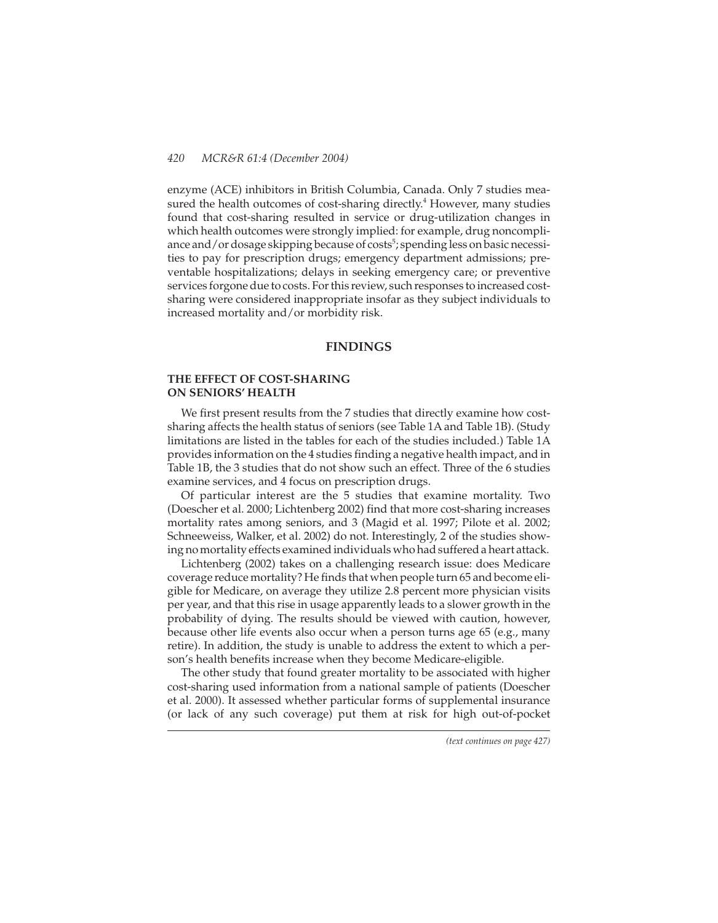enzyme (ACE) inhibitors in British Columbia, Canada. Only 7 studies measured the health outcomes of cost-sharing directly. $4$  However, many studies found that cost-sharing resulted in service or drug-utilization changes in which health outcomes were strongly implied: for example, drug noncompliance and / or dosage skipping because of costs<sup>5</sup>; spending less on basic necessities to pay for prescription drugs; emergency department admissions; preventable hospitalizations; delays in seeking emergency care; or preventive services forgone due to costs. For this review, such responses to increased costsharing were considered inappropriate insofar as they subject individuals to increased mortality and/or morbidity risk.

## **FINDINGS**

# **THE EFFECT OF COST-SHARING ON SENIORS' HEALTH**

We first present results from the 7 studies that directly examine how costsharing affects the health status of seniors (see Table 1A and Table 1B). (Study limitations are listed in the tables for each of the studies included.) Table 1A provides information on the 4 studies finding a negative health impact, and in Table 1B, the 3 studies that do not show such an effect. Three of the 6 studies examine services, and 4 focus on prescription drugs.

Of particular interest are the 5 studies that examine mortality. Two (Doescher et al. 2000; Lichtenberg 2002) find that more cost-sharing increases mortality rates among seniors, and 3 (Magid et al. 1997; Pilote et al. 2002; Schneeweiss, Walker, et al. 2002) do not. Interestingly, 2 of the studies showing no mortality effects examined individuals who had suffered a heart attack.

Lichtenberg (2002) takes on a challenging research issue: does Medicare coverage reduce mortality? He finds that when people turn 65 and become eligible for Medicare, on average they utilize 2.8 percent more physician visits per year, and that this rise in usage apparently leads to a slower growth in the probability of dying. The results should be viewed with caution, however, because other life events also occur when a person turns age 65 (e.g., many retire). In addition, the study is unable to address the extent to which a person's health benefits increase when they become Medicare-eligible.

The other study that found greater mortality to be associated with higher cost-sharing used information from a national sample of patients (Doescher et al. 2000). It assessed whether particular forms of supplemental insurance (or lack of any such coverage) put them at risk for high out-of-pocket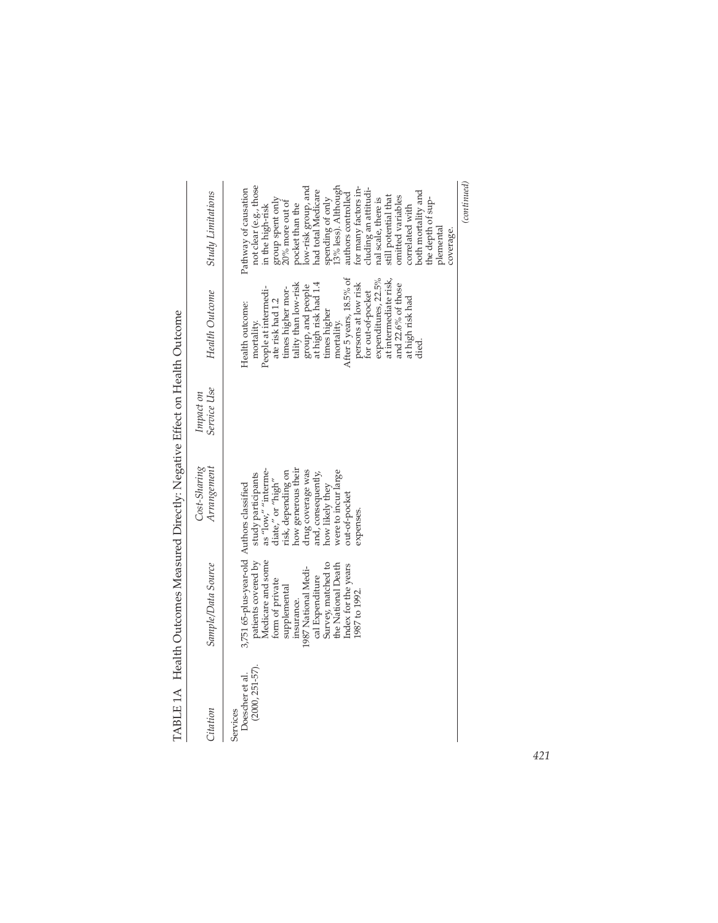| Citation                                          | Sample/Data Source                                                                                                                                                                                                                                                  | Cost-Sharing<br>Arrangement                                                                                                                                                                                                  | Service Use<br>Impact on | <b>Health Outcome</b>                                                                                                                                                                                                                                                                                                                                                      | <b>Study Limitations</b>                                                                                                                                                                                                                                                                                                                                                                                                                                           |
|---------------------------------------------------|---------------------------------------------------------------------------------------------------------------------------------------------------------------------------------------------------------------------------------------------------------------------|------------------------------------------------------------------------------------------------------------------------------------------------------------------------------------------------------------------------------|--------------------------|----------------------------------------------------------------------------------------------------------------------------------------------------------------------------------------------------------------------------------------------------------------------------------------------------------------------------------------------------------------------------|--------------------------------------------------------------------------------------------------------------------------------------------------------------------------------------------------------------------------------------------------------------------------------------------------------------------------------------------------------------------------------------------------------------------------------------------------------------------|
| $(2000, 251 - 57)$<br>Doescher et al.<br>Services | 3,751 65-plus-year-old Authors classified<br>patients covered by<br>Medicare and some<br>Survey, matched to<br>the National Death<br>Index for the years<br>1987 National Medi-<br>cal Expenditure<br>form of private<br>supplemental<br>1987 to 1992<br>insurance. | how generous their<br>drug coverage was<br>study participants<br>as "low," "interme-<br>diate," or "high"<br>were to incur large<br>risk, depending on<br>and, consequently,<br>how likely they<br>out-of-pocket<br>expenses |                          | After 5 years, 18.5% of<br>expenditures, 22.5%<br>at intermediate risk<br>group, and people<br>at high risk had 1.4<br>times higher mor-<br>tality than low-risk<br>persons at low risk<br>and 22.6% of those<br>People at intermedi-<br>for out-of-pocket<br>at high risk had<br>ate risk had 1.2<br>Health outcome:<br>times higher<br>mortality.<br>mortality.<br>died. | (continued)<br>not clear (e.g., those<br>3% less). Although<br>low-risk group, and<br>or many factors in-<br>Pathway of causation<br>duding an attitudi-<br>had total Medicare<br>both mortality and<br>authors controlled<br>still potential that<br>omitted variables<br>nal scale, there is<br>the depth of sup-<br>group spent only<br>spending of only<br>20% more out of<br>oocket than the<br>in the high-risk<br>correlated with<br>plemental<br>coverage. |
|                                                   |                                                                                                                                                                                                                                                                     |                                                                                                                                                                                                                              |                          |                                                                                                                                                                                                                                                                                                                                                                            |                                                                                                                                                                                                                                                                                                                                                                                                                                                                    |

TABLE 1A Health Outcomes Measured Directly: Negative Effect on Health Outcome TABLE 1A Health Outcomes Measured Directly: Negative Effect on Health Outcome

*421*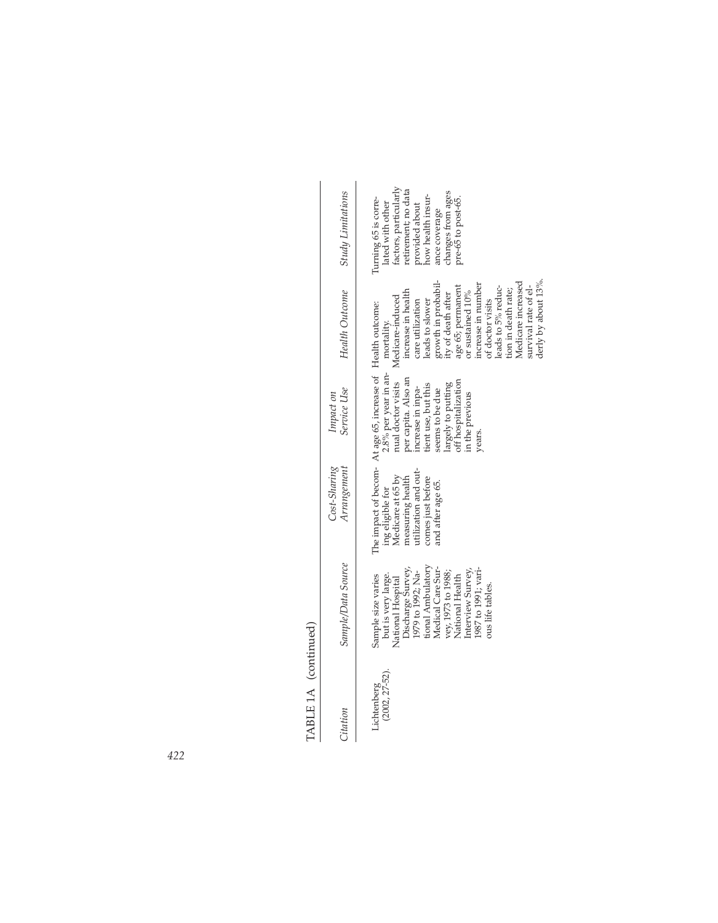| TABLE 1A (continued)             |                                                                                                                                                                                                                                                           |                                                                                                                             |                                                                                                                                                                                                                                                                           |                                                                                                                                                                                                                                                                                                                                              |                                                                                                                                                                                             |
|----------------------------------|-----------------------------------------------------------------------------------------------------------------------------------------------------------------------------------------------------------------------------------------------------------|-----------------------------------------------------------------------------------------------------------------------------|---------------------------------------------------------------------------------------------------------------------------------------------------------------------------------------------------------------------------------------------------------------------------|----------------------------------------------------------------------------------------------------------------------------------------------------------------------------------------------------------------------------------------------------------------------------------------------------------------------------------------------|---------------------------------------------------------------------------------------------------------------------------------------------------------------------------------------------|
| Citation                         | Sample/Data Source                                                                                                                                                                                                                                        | $Cost-Sharing$<br>Arrangement                                                                                               | Service Use<br>Impact on                                                                                                                                                                                                                                                  | Health Outcome                                                                                                                                                                                                                                                                                                                               | <b>Study Limitations</b>                                                                                                                                                                    |
| $(2002, 27 - 52)$<br>Lichtenberg | tional Ambulatory<br>Medical Care Sur-<br>1987 to 1991; vari-<br>Discharge Survey,<br>1979 to 1992; Na-<br>Interview Survey<br>vey, 1973 to 1988;<br>but is very large.<br>Sample size varies<br>National Health<br>National Hospital<br>ous life tables. | utilization and out-<br>ing eligible for<br>Medicare at 65 by<br>measuring health<br>comes just before<br>and after age 65. | The impact of becom- At age 65, increase of Health outcome:<br>2.8% per year in an-<br>per capita. Also an<br>off hospitalization<br>nual doctor visits<br>largely to putting<br>tient use, but this<br>increase in inpa-<br>seems to be due<br>in the previous<br>years. | growth in probabil-<br>ity of death after<br>derly by about 13%<br>Medicare increased<br>increase in number<br>survival rate of el-<br>age 65; permanent<br>leads to 5% reduc-<br>tion in death rate;<br>increase in health<br>or sustained 10%<br>Medicare-induced<br>leads to slower<br>of doctor visits<br>care utilization<br>mortality. | factors, particularly<br>retirement; no data<br>changes from ages<br>how health insur-<br>pre-65 to post-65.<br>Turning 65 is corre-<br>lated with other<br>provided about<br>ance coverage |

TABLE 1A (continued)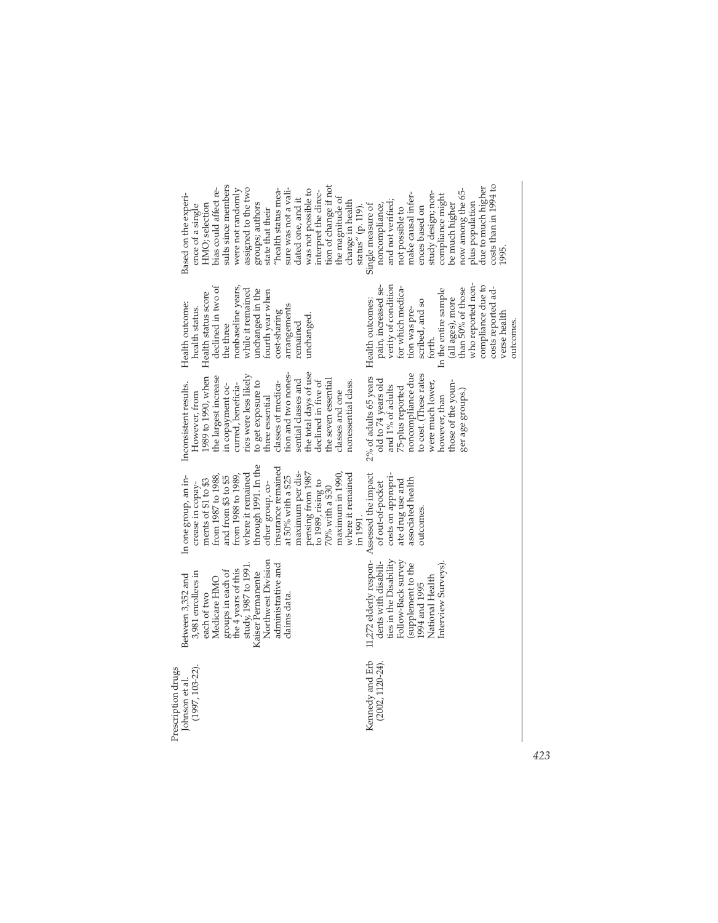| Kennedy and Erb<br>$(2002, 1120-24).$<br>Johnson et al.<br>(1997, 103-22).<br>Prescription drugs | 11,272 elderly respon-<br>ties in the Disability<br>Northwest Division<br>Follow-Back survey<br>dents with disabili-<br>Interview Surveys).<br>(supplement to the<br>administrative and<br>study, 1987 to 1991.<br>the 4 years of this<br>groups in each of<br>3,981 enrollees in<br>Kaiser Permanente<br>Between 3,352 and<br>National Health<br>Medicare HMO<br>1994 and 1995<br>each of two<br>claims data. | through 1991. In the<br>insurance remained<br>maximum per dis-<br>pensing from 1987<br>where it remained<br>where it remained<br>maximum in 1990,<br>Assessed the impact<br>costs on appropri-<br>In one group, an in-<br>from 1987 to 1988,<br>from 1988 to 1989<br>at 50% with a \$25<br>and from \$3 to \$5<br>ments of \$1 to \$3<br>associated health<br>ate drug use and<br>to 1989, rising to<br>of out-of-pocket<br>other group, co-<br>crease in copay-<br>70% with a \$30<br>outcomes<br>in 1991. | the total days of use<br>noncompliance due<br>to cost. (These rates<br>tion and two nones-<br>ries were less likely<br>1989 to 1990, when<br>the largest increase<br>2% of adults 65 years<br>the seven essential<br>old to 74 years old<br>sential classes and<br>nonessential class.<br>declined in five of<br>to get exposure to<br>classes of medica-<br>were much lower,<br>those of the youn-<br>curred, beneficia-<br>Inconsistent results.<br>n copayment oc-<br>and 1% of adults<br>75-plus reported<br>ger age groups.)<br>classes and one<br>However, from<br>hree essential<br>however, than | who reported non-<br>verity of condition<br>declined in two of<br>nonbaseline years,<br>pain, increased se-<br>for which medica-<br>than 50% of those<br>In the entire sample<br>while it remained<br>unchanged in the<br>fourth year when<br>Health status score<br>(all ages), more<br>Health outcomes:<br>scribed, and so<br>Health outcome:<br>arrangements<br>health status.<br>tion was pre-<br>cost-sharing<br>unchanged.<br>remained<br>the three<br>forth. | sults since members<br>tion of change if not<br>assigned to the two<br>bias could affect re-<br>were not randomly<br>sure was not a vali-<br>was not possible to<br>now among the 65-<br>"health status mea-<br>interpret the direc-<br>study design; non-<br>make causal infer-<br>Based on the experi-<br>compliance might<br>the magnitude of<br>dated one, and it<br>and not verified;<br>change in health<br>plus population<br>be much higher<br>HMO; selection<br>groups; authors<br>noncompliance,<br>Single measure of<br>ence of a single<br>ences based on<br>status" (p. 119).<br>not possible to<br>state that their |
|--------------------------------------------------------------------------------------------------|----------------------------------------------------------------------------------------------------------------------------------------------------------------------------------------------------------------------------------------------------------------------------------------------------------------------------------------------------------------------------------------------------------------|-------------------------------------------------------------------------------------------------------------------------------------------------------------------------------------------------------------------------------------------------------------------------------------------------------------------------------------------------------------------------------------------------------------------------------------------------------------------------------------------------------------|----------------------------------------------------------------------------------------------------------------------------------------------------------------------------------------------------------------------------------------------------------------------------------------------------------------------------------------------------------------------------------------------------------------------------------------------------------------------------------------------------------------------------------------------------------------------------------------------------------|---------------------------------------------------------------------------------------------------------------------------------------------------------------------------------------------------------------------------------------------------------------------------------------------------------------------------------------------------------------------------------------------------------------------------------------------------------------------|-----------------------------------------------------------------------------------------------------------------------------------------------------------------------------------------------------------------------------------------------------------------------------------------------------------------------------------------------------------------------------------------------------------------------------------------------------------------------------------------------------------------------------------------------------------------------------------------------------------------------------------|
|                                                                                                  |                                                                                                                                                                                                                                                                                                                                                                                                                |                                                                                                                                                                                                                                                                                                                                                                                                                                                                                                             |                                                                                                                                                                                                                                                                                                                                                                                                                                                                                                                                                                                                          | compliance due to<br>costs reported ad-<br>verse health                                                                                                                                                                                                                                                                                                                                                                                                             | $costs$ than in 1994 to<br>due to much higher<br>1995                                                                                                                                                                                                                                                                                                                                                                                                                                                                                                                                                                             |
|                                                                                                  |                                                                                                                                                                                                                                                                                                                                                                                                                |                                                                                                                                                                                                                                                                                                                                                                                                                                                                                                             |                                                                                                                                                                                                                                                                                                                                                                                                                                                                                                                                                                                                          | outcomes.                                                                                                                                                                                                                                                                                                                                                                                                                                                           |                                                                                                                                                                                                                                                                                                                                                                                                                                                                                                                                                                                                                                   |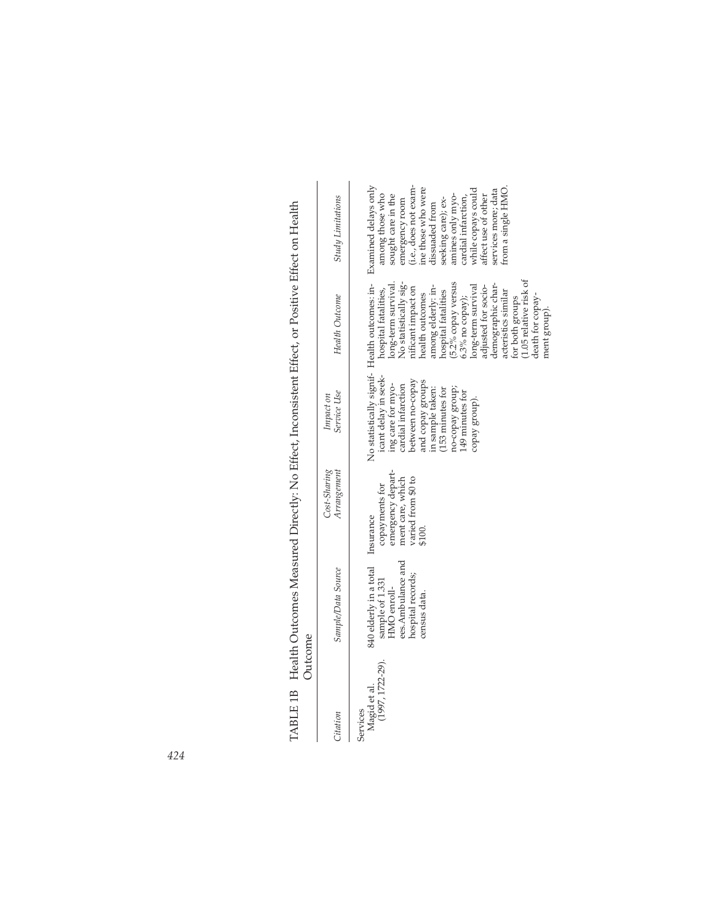| TARIF <sub>11</sub><br>י<br>אי | $\ddot{\cdot}$<br>$\rm H$ and $\rm H$<br>$H_{\text{Boff}}$ or Positive $H_{\text{Boff}}$<br>$H_{\rm tot}$ Ma H $H_{\rm tot}$<br>$-1$ $-7$<br>֧ׅ֧֧ׅ֧֧ׅ֧֧֛֡֜֜֜֜֜֜֜֓֜֜<br>$-1.12$<br>์<br>-<br>تداحمت<br>E |
|--------------------------------|---------------------------------------------------------------------------------------------------------------------------------------------------------------------------------------------------------|
|                                |                                                                                                                                                                                                         |
|                                | <b><i><u>Property</u></i></b><br>0.101                                                                                                                                                                  |

| Citation                                          | Sample/Data Source                                                                                                            | Cost-Sharing<br>Arrangement                                                             | Service Use<br>Impact on                                                                                                                                                                              | Health Outcome                                                                                                                                                                                                                                                                                                                                                           | Study Limitations                                                                                                                                                                                                                                                                                                                                        |
|---------------------------------------------------|-------------------------------------------------------------------------------------------------------------------------------|-----------------------------------------------------------------------------------------|-------------------------------------------------------------------------------------------------------------------------------------------------------------------------------------------------------|--------------------------------------------------------------------------------------------------------------------------------------------------------------------------------------------------------------------------------------------------------------------------------------------------------------------------------------------------------------------------|----------------------------------------------------------------------------------------------------------------------------------------------------------------------------------------------------------------------------------------------------------------------------------------------------------------------------------------------------------|
| $(1997, 1722 - 29)$ .<br>Magid et al.<br>Services | 840 elderly in a total Insurance<br>ees. Ambulance and<br>hospital records;<br>sample of 1.331<br>HMO enroll-<br>census data. | emergency depart-<br>ment care, which<br>varied from \$0 to<br>copayments for<br>\$100. | icant delay in seek-<br>and copay groups<br>between no-copay<br>ing care for myo-<br>cardial infarction<br>in sample taken:<br>(153 minutes for<br>no-copay group;<br>49 minutes for<br>copay group). | 1.05 relative risk of<br>No statistically sig-<br>(5.2% copay versus<br>demographic char-<br>long-term survival<br>long-term survival<br>adjusted for socio-<br>uficant impact on<br>among elderly: in-<br>hospital fatalities,<br>hospital fatalities<br>acteristics similar<br>health outcomes<br>.3% no copay);<br>death for copay-<br>for both groups<br>ment group) | No statistically signif- Health outcomes: in- Examined delays only<br>(i.e., does not exam-<br>ine those who were<br>from a single HMO<br>while copays could<br>services more; data<br>among those who<br>affect use of other<br>sought care in the<br>amines only myo-<br>cardial infarction,<br>seeking care); ex-<br>emergency room<br>dissuaded from |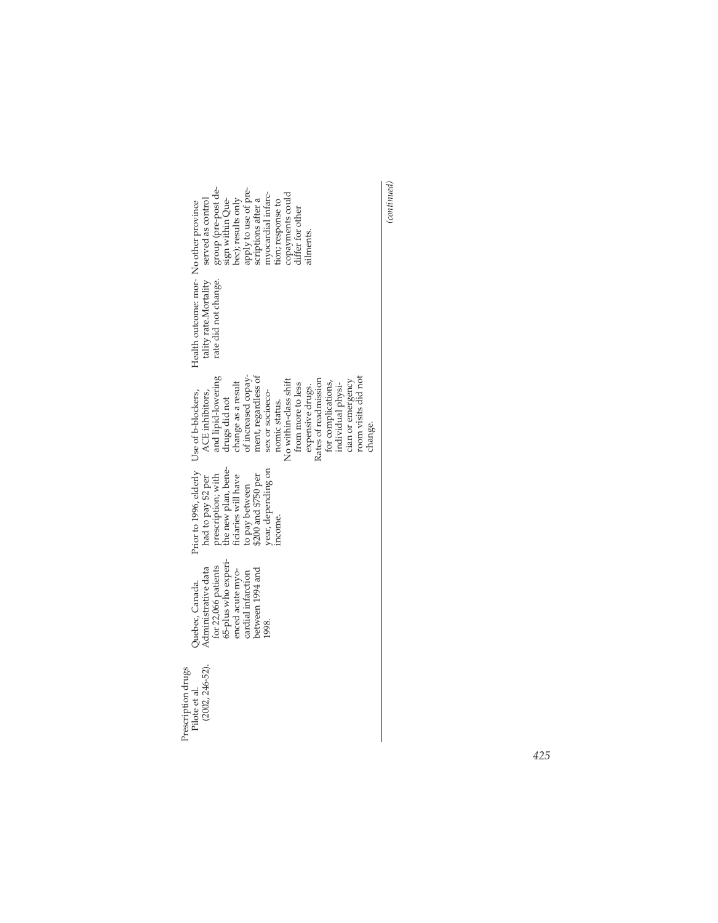| group (pre-post de-<br>sign within Que-<br>bec); results only<br>apply to use of pre-<br>scriptions after a<br>nyocardial infarc-<br>copayments could<br>differ for other<br>served as control<br>tion; response to<br>ilments.                                                                                                                             |
|-------------------------------------------------------------------------------------------------------------------------------------------------------------------------------------------------------------------------------------------------------------------------------------------------------------------------------------------------------------|
| Health outcome: mor- No other province<br>rate did not change.<br>tality rate.Mortality                                                                                                                                                                                                                                                                     |
| ment, regardless of<br>and lipid-lowering<br>room visits did not<br>change as a result<br>of increased copay-<br>No within-class shift<br>Rates of readmission<br>cian or emergency<br>for complications,<br>from more to less<br>individual physi-<br>expensive drugs.<br>ACE inhibitors,<br>sex or socioeco-<br>drugs did not<br>nomic status.<br>change. |
| Prior to 1996, elderly Use of b-blockers,<br>prescription; with<br>the new plan, bene-<br>year, depending on<br>ficiaries will have<br>to pay between<br>\$200 and \$750 per<br>had to pay \$2 per<br>ncome.                                                                                                                                                |
| 65-plus who experi-<br>for 22,066 patients<br>Administrative data<br>between 1994 and<br>enced acute myo-<br>cardial infarction<br>Juebec, Canada.<br>1998.                                                                                                                                                                                                 |
| $(2002, 246 - 52).$<br>Prescription drugs<br>Pilote et al.                                                                                                                                                                                                                                                                                                  |

 $\left( continued \right)$ *(continued)*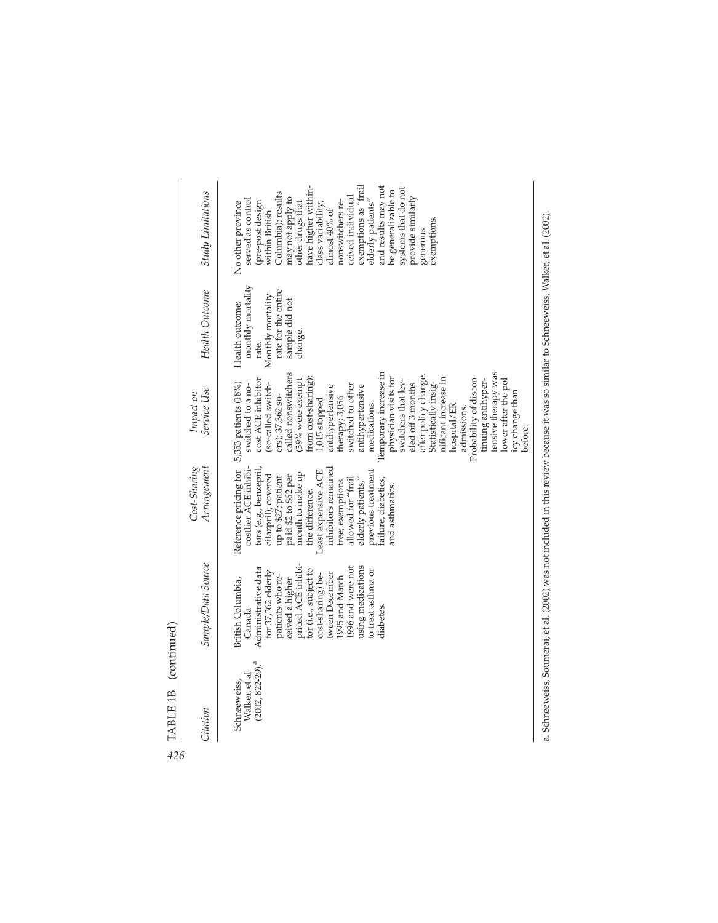| $(2002, 822 - 29).$ <sup>a</sup><br>Walker, et al.<br>Schneeweiss,<br>Citation | Sample/Data Source<br>ceived a higher<br>priced ACE inhibi-<br>1996 and were not<br>using medications<br>Administrative data<br>tor (i.e., subject to<br>to treat asthma or<br>for 37,362 elderly<br>tween December<br>cost-sharing) be-<br>patients who re-<br>1995 and March<br>British Columbia,<br>Canada<br>diabetes | Reference pricing for 5,353 patients (18%)<br>costlier ACE inhibi-<br>Cost-Sharing<br>Arrangement<br>tors (e.g., benzepril,<br>inhibitors remained<br>Least expensive ACE<br>previous treatment<br>month to make up<br>cilazpril); covered<br>paid \$2 to \$62 per<br>up to \$27; patient<br>elderly patients,"<br>allowed for "frail<br>failure, diabetics,<br>free; exemptions<br>and asthmatics<br>the difference. | Temporary increase in<br>called nonswitchers<br>after policy change<br>Probability of discon-<br>physician visits for<br>from cost-sharing);<br>nificant increase in<br>cost ACE inhibitor<br>switchers that lev-<br>(39% were exempt<br>Statistically insig-<br>eled off 3 months<br>switched to a no-<br>(so-called switch-<br>switched to other<br>antihypertensive<br>antihypertensive<br>Service Use<br>Impact on<br>ers); 37,362 so-<br>therapy; 3,056<br>1,015 stopped<br>medications.<br>hospital/ER<br>admissions. | monthly mortality<br>rate for the entire<br>Health Outcome<br>Monthly mortality<br>sample did not<br>Health outcome:<br>change.<br>rate. | and results may not<br>exemptions as "frail<br>have higher within-<br>systems that do not<br>be generalizable to<br>Study Limitations<br>Columbia); results<br>ceived individual<br>may not apply to<br>provide similarly<br>served as control<br>elderly patients"<br>other drugs that<br>nonswitchers re-<br>No other province<br>pre-post design<br>class variability<br>almost 40% of<br>within British<br>exemptions<br>generous |
|--------------------------------------------------------------------------------|---------------------------------------------------------------------------------------------------------------------------------------------------------------------------------------------------------------------------------------------------------------------------------------------------------------------------|-----------------------------------------------------------------------------------------------------------------------------------------------------------------------------------------------------------------------------------------------------------------------------------------------------------------------------------------------------------------------------------------------------------------------|-----------------------------------------------------------------------------------------------------------------------------------------------------------------------------------------------------------------------------------------------------------------------------------------------------------------------------------------------------------------------------------------------------------------------------------------------------------------------------------------------------------------------------|------------------------------------------------------------------------------------------------------------------------------------------|---------------------------------------------------------------------------------------------------------------------------------------------------------------------------------------------------------------------------------------------------------------------------------------------------------------------------------------------------------------------------------------------------------------------------------------|
|                                                                                |                                                                                                                                                                                                                                                                                                                           |                                                                                                                                                                                                                                                                                                                                                                                                                       | tensive therapy was<br>lower after the pol-<br>tinuing antihyper-<br>icy change than<br>pefore.                                                                                                                                                                                                                                                                                                                                                                                                                             |                                                                                                                                          |                                                                                                                                                                                                                                                                                                                                                                                                                                       |

a. Schneeweiss, Soumerai, et al. (2002) was not included in this review because it was so similar to Schneeweiss, Walker, et al. (2002). a. Schneeweiss, Soumerai, et al. (2002) was not included in this review because it was so similar to Schneeweiss, Walker, et al. (2002).

 $\frac{\text{TABLE 1B (continued)}}{\text{ABLE 1B (continued)}}$ TABLE 1B (continued)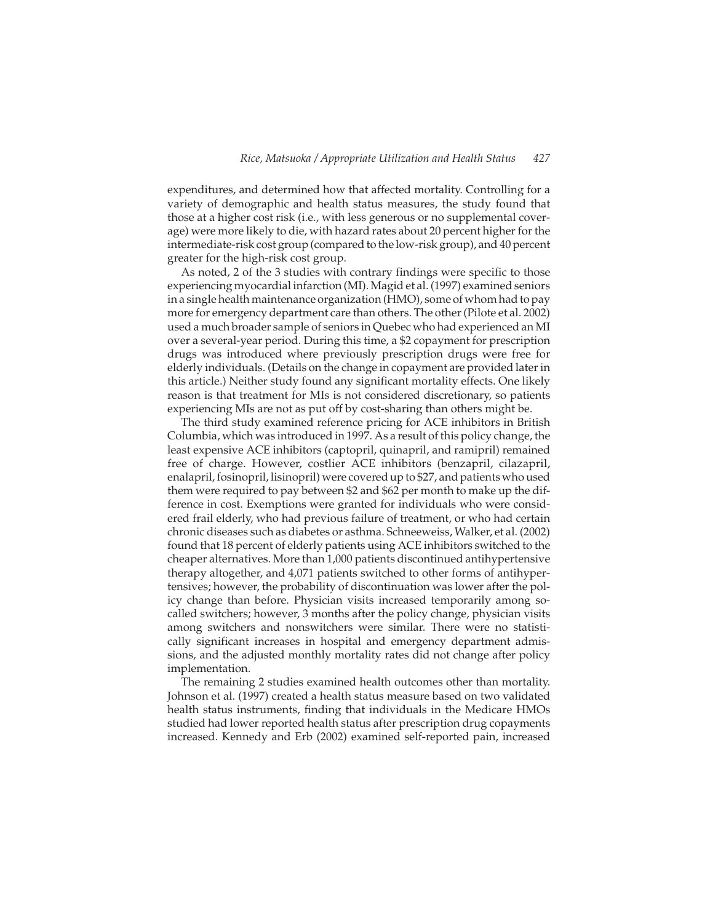expenditures, and determined how that affected mortality. Controlling for a variety of demographic and health status measures, the study found that those at a higher cost risk (i.e., with less generous or no supplemental coverage) were more likely to die, with hazard rates about 20 percent higher for the intermediate-risk cost group (compared to the low-risk group), and 40 percent greater for the high-risk cost group.

As noted, 2 of the 3 studies with contrary findings were specific to those experiencing myocardial infarction (MI). Magid et al. (1997) examined seniors in a single health maintenance organization (HMO), some of whom had to pay more for emergency department care than others. The other (Pilote et al. 2002) used a much broader sample of seniors in Quebec who had experienced an MI over a several-year period. During this time, a \$2 copayment for prescription drugs was introduced where previously prescription drugs were free for elderly individuals. (Details on the change in copayment are provided later in this article.) Neither study found any significant mortality effects. One likely reason is that treatment for MIs is not considered discretionary, so patients experiencing MIs are not as put off by cost-sharing than others might be.

The third study examined reference pricing for ACE inhibitors in British Columbia, which was introduced in 1997. As a result of this policy change, the least expensive ACE inhibitors (captopril, quinapril, and ramipril) remained free of charge. However, costlier ACE inhibitors (benzapril, cilazapril, enalapril, fosinopril, lisinopril) were covered up to \$27, and patients who used them were required to pay between \$2 and \$62 per month to make up the difference in cost. Exemptions were granted for individuals who were considered frail elderly, who had previous failure of treatment, or who had certain chronic diseases such as diabetes or asthma. Schneeweiss, Walker, et al. (2002) found that 18 percent of elderly patients using ACE inhibitors switched to the cheaper alternatives. More than 1,000 patients discontinued antihypertensive therapy altogether, and 4,071 patients switched to other forms of antihypertensives; however, the probability of discontinuation was lower after the policy change than before. Physician visits increased temporarily among socalled switchers; however, 3 months after the policy change, physician visits among switchers and nonswitchers were similar. There were no statistically significant increases in hospital and emergency department admissions, and the adjusted monthly mortality rates did not change after policy implementation.

The remaining 2 studies examined health outcomes other than mortality. Johnson et al. (1997) created a health status measure based on two validated health status instruments, finding that individuals in the Medicare HMOs studied had lower reported health status after prescription drug copayments increased. Kennedy and Erb (2002) examined self-reported pain, increased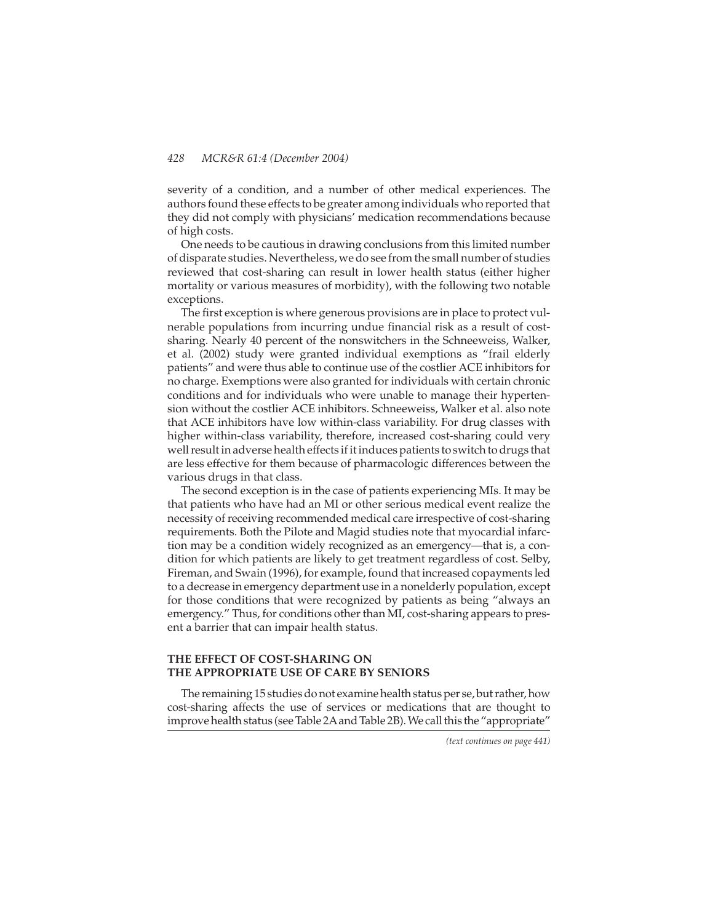severity of a condition, and a number of other medical experiences. The authors found these effects to be greater among individuals who reported that they did not comply with physicians' medication recommendations because of high costs.

One needs to be cautious in drawing conclusions from this limited number of disparate studies. Nevertheless, we do see from the small number of studies reviewed that cost-sharing can result in lower health status (either higher mortality or various measures of morbidity), with the following two notable exceptions.

The first exception is where generous provisions are in place to protect vulnerable populations from incurring undue financial risk as a result of costsharing. Nearly 40 percent of the nonswitchers in the Schneeweiss, Walker, et al. (2002) study were granted individual exemptions as "frail elderly patients" and were thus able to continue use of the costlier ACE inhibitors for no charge. Exemptions were also granted for individuals with certain chronic conditions and for individuals who were unable to manage their hypertension without the costlier ACE inhibitors. Schneeweiss, Walker et al. also note that ACE inhibitors have low within-class variability. For drug classes with higher within-class variability, therefore, increased cost-sharing could very well result in adverse health effects if it induces patients to switch to drugs that are less effective for them because of pharmacologic differences between the various drugs in that class.

The second exception is in the case of patients experiencing MIs. It may be that patients who have had an MI or other serious medical event realize the necessity of receiving recommended medical care irrespective of cost-sharing requirements. Both the Pilote and Magid studies note that myocardial infarction may be a condition widely recognized as an emergency—that is, a condition for which patients are likely to get treatment regardless of cost. Selby, Fireman, and Swain (1996), for example, found that increased copayments led to a decrease in emergency department use in a nonelderly population, except for those conditions that were recognized by patients as being "always an emergency." Thus, for conditions other than MI, cost-sharing appears to present a barrier that can impair health status.

# **THE EFFECT OF COST-SHARING ON THE APPROPRIATE USE OF CARE BY SENIORS**

The remaining 15 studies do not examine health status per se, but rather, how cost-sharing affects the use of services or medications that are thought to improve health status (see Table 2Aand Table 2B). We call this the "appropriate"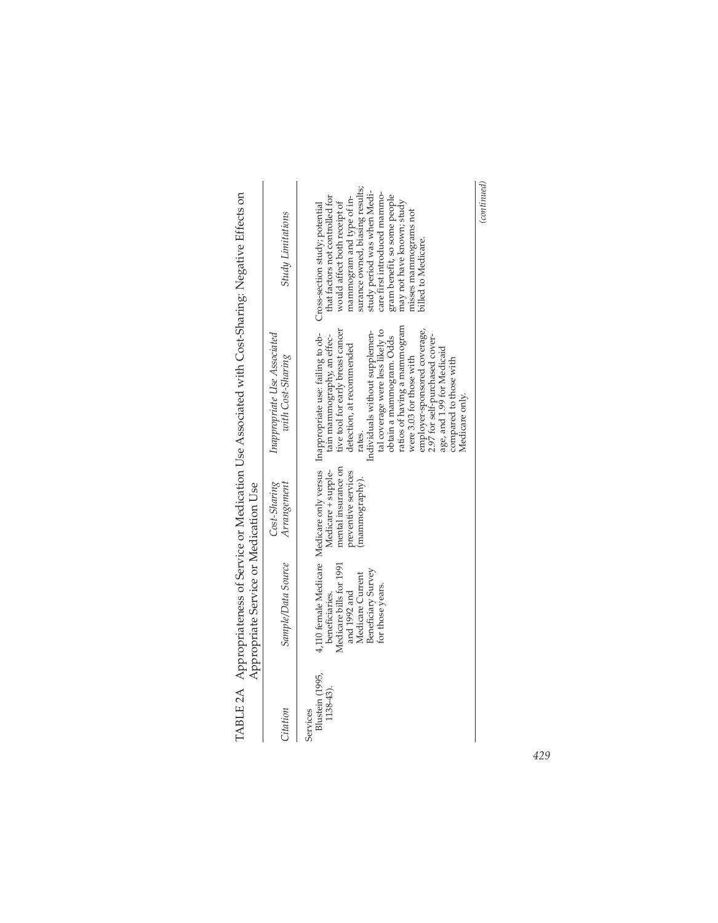|                                          | Appropriate Service or Medication Use<br>$\ddot{\phantom{a}}$                                                           |                                                                                    |                                                                                                                                                                                                                                                                                                                                                                                                                                                                                                  |                                                                                                                                                                                                                                                                                                                                               |
|------------------------------------------|-------------------------------------------------------------------------------------------------------------------------|------------------------------------------------------------------------------------|--------------------------------------------------------------------------------------------------------------------------------------------------------------------------------------------------------------------------------------------------------------------------------------------------------------------------------------------------------------------------------------------------------------------------------------------------------------------------------------------------|-----------------------------------------------------------------------------------------------------------------------------------------------------------------------------------------------------------------------------------------------------------------------------------------------------------------------------------------------|
| Citation                                 | Sample/Data Source                                                                                                      | Cost-Sharing<br>Arrangement                                                        | Inappropriate Use Associated<br>with Cost-Sharing                                                                                                                                                                                                                                                                                                                                                                                                                                                | <b>Study Limitations</b>                                                                                                                                                                                                                                                                                                                      |
| Blustein (1995,<br>1138-43).<br>Services | Medicare bills for 1991<br>Beneficiary Survey<br>Medicare Current<br>for those years.<br>and 1992 and<br>beneficiaries. | mental insurance on<br>Medicare + supple-<br>preventive services<br>(mammography). | ratios of having a mammogram<br>employer-sponsored coverage,<br>tive tool for early breast cancer<br>tal coverage were less likely to<br>Individuals without supplemen-<br>4,110 female Medicare Medicare only versus Inappropriate use: failing to ob-<br>tain mammography, an effec-<br>2.97 for self-purchased cover-<br>obtain a mammogram. Odds<br>detection, at recommended<br>age, and 1.99 for Medicaid<br>were 3.03 for those with<br>compared to those with<br>Medicare only.<br>ates. | surance owned, biasing results;<br>study period was when Medi-<br>care first introduced mammo-<br>that factors not controlled for<br>gram benefit, so some people<br>mammogram and type of in-<br>may not have known; study<br>would affect both receipt of<br>Cross-section study; potential<br>nisses mammograms not<br>billed to Medicare. |
|                                          |                                                                                                                         |                                                                                    |                                                                                                                                                                                                                                                                                                                                                                                                                                                                                                  | (continued)                                                                                                                                                                                                                                                                                                                                   |

| י גי<br>)<br>ייבני בטבוב                          | ・ ちくてもくてく ミー<br>こうそく くりょうそくしょくせんきゅうそくそうち |
|---------------------------------------------------|------------------------------------------|
| $\sim$ $\sim$ $\sim$ $\sim$ $\sim$<br>ł<br>l<br>j |                                          |
| $\sim$ $\sim$ $\sim$ $\sim$ $\sim$<br>$-1$        |                                          |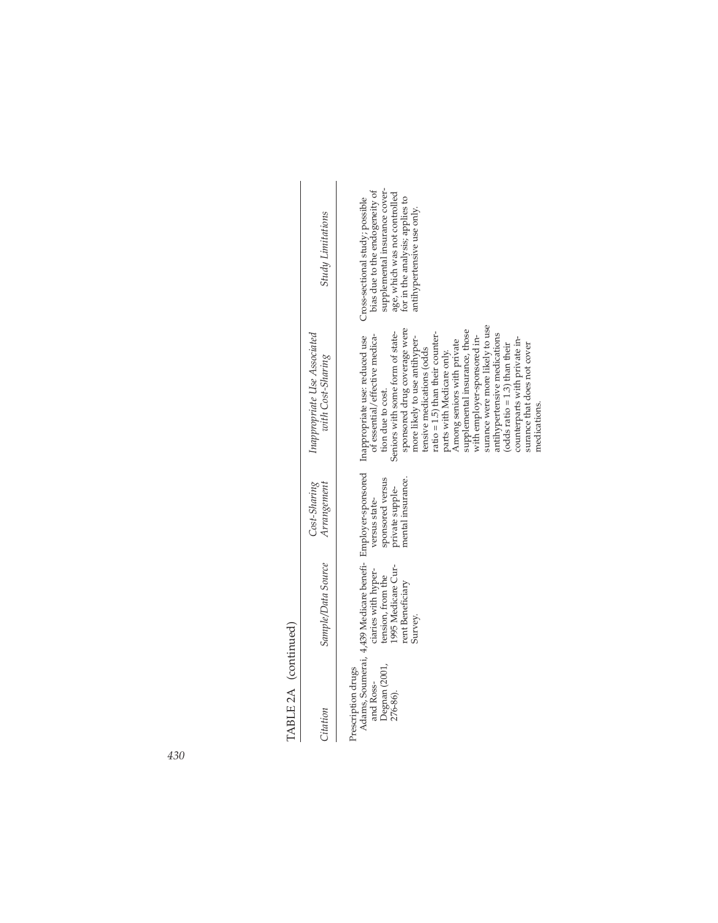| ١<br>č          |  |
|-----------------|--|
| ι<br>Ε<br>FA RI |  |

| <b>Study Limitations</b>                          | supplemental insurance cover-<br>bias due to the endogeneity of<br>age, which was not controlled<br>for in the analysis; applies to<br>Cross-sectional study; possible<br>antihypertensive use only.                                                                                                                                                                                                                                                                                                                        |
|---------------------------------------------------|-----------------------------------------------------------------------------------------------------------------------------------------------------------------------------------------------------------------------------------------------------------------------------------------------------------------------------------------------------------------------------------------------------------------------------------------------------------------------------------------------------------------------------|
| Inappropriate Use Associated<br>with Cost-Sharing | surance were more likely to use<br>sponsored drug coverage were<br>supplemental insurance, those<br>Seniors with some form of state-<br>ratio = 1.5) than their counter-<br>antihypertensive medications<br>of essential/effective medica-<br>with employer-sponsored in-<br>more likely to use antihyper-<br>counterparts with private in-<br>Among seniors with private<br>(odds $ratio = 1.3$ ) than their<br>surance that does not cover<br>tensive medications (odds<br>parts with Medicare only.<br>tion due to cost. |
| Cost-Sharing<br>Arrangement                       | sponsored versus<br>mental insurance.<br>private supple-<br>versus state-                                                                                                                                                                                                                                                                                                                                                                                                                                                   |
| Sample/Data Source                                | Adams, Soumerai, 4,439 Medicare benefi- Employer-sponsored Inappropriate use: reduced use<br>1995 Medicare Cur-<br>ciaries with hyper-<br>tension, from the<br>rent Beneficiary<br>Survey.                                                                                                                                                                                                                                                                                                                                  |
| Citation                                          | Degnan (2001,<br>Prescription drugs<br>and Ross-<br>276-86).                                                                                                                                                                                                                                                                                                                                                                                                                                                                |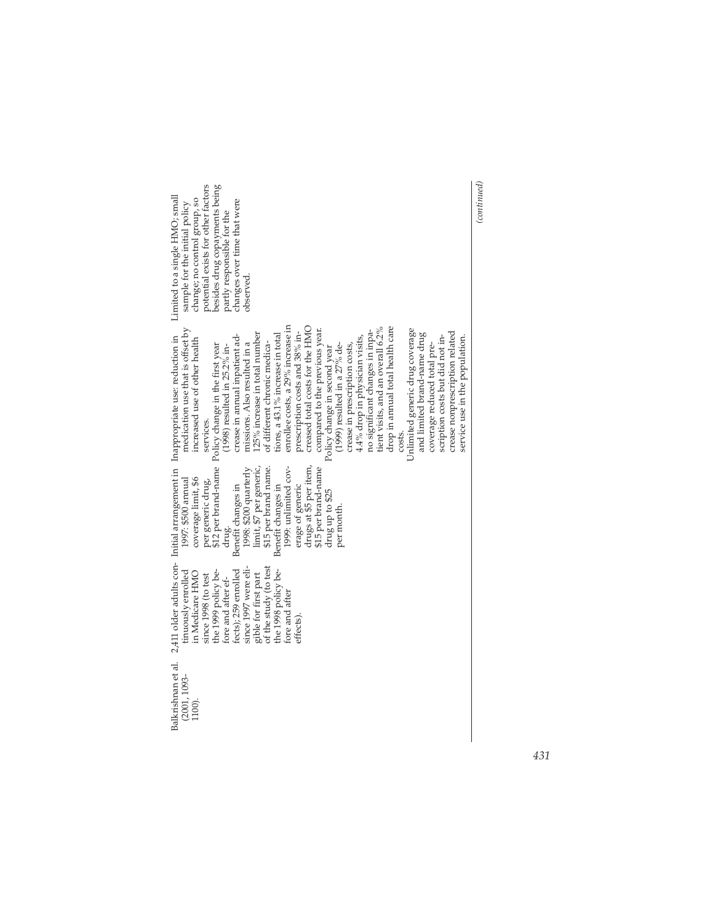| besides drug copayments being<br>potential exists for other factors<br>Limited to a single HMO; small<br>change; no control group, so<br>changes over time that were<br>sample for the initial policy<br>partly responsible for the<br>phserved.                                                                                                                                                                                                                                                                                                                                                                                                                                                                                                                                                                                                                                                                                                                                                                                              |  |
|-----------------------------------------------------------------------------------------------------------------------------------------------------------------------------------------------------------------------------------------------------------------------------------------------------------------------------------------------------------------------------------------------------------------------------------------------------------------------------------------------------------------------------------------------------------------------------------------------------------------------------------------------------------------------------------------------------------------------------------------------------------------------------------------------------------------------------------------------------------------------------------------------------------------------------------------------------------------------------------------------------------------------------------------------|--|
| enrollee costs, a 29% increase in<br>creased total costs for the HMC<br>medication use that is offset by<br>tient visits, and an overall 6.2%<br>drop in annual total health care<br>Unlimited generic drug coverage<br>compared to the previous year.<br>no significant changes in inpa-<br>crease nonprescription related<br>125% increase in total number<br>prescription costs and 38% in-<br>and limited brand-name drug<br>crease in annual inpatient ad-<br>tions, a 43.1% increase in total<br>scription costs but did not in-<br>2,411 older adults con- Initial arrangement in Inappropriate use: reduction in<br>4.4% drop in physician visits,<br>service use in the population.<br>increased use of other health<br>missions. Also resulted in a<br>coverage reduced total pre-<br>\$12 per brand-name Policy change in the first year<br>of different chronic medica-<br>$(1999)$ resulted in a 27% de-<br>(1998) resulted in 25.2% in-<br>crease in prescription costs,<br>Policy change in second year<br>services.<br>costs. |  |
| 1999: unlimited cov-<br>drugs at \$5 per item,<br>limit, \$7 per generic,<br>\$15 per brand name.<br>\$15 per brand-name<br>1998: \$200 quarterly<br>1997: \$500 annual<br>coverage limit, \$6<br>per generic drug,<br>Benefit changes in<br>Benefit changes in<br>erage of generic<br>drug up to \$25<br>per month.<br>drug.                                                                                                                                                                                                                                                                                                                                                                                                                                                                                                                                                                                                                                                                                                                 |  |
| of the study (to test<br>since 1997 were eli-<br>fects); 259 enrolled<br>the 1999 policy be-<br>the 1998 policy be-<br>tinuously enrolled<br>in Medicare HMO<br>gible for first part<br>since 1998 (to test<br>fore and after ef-<br>fore and after<br>effects).                                                                                                                                                                                                                                                                                                                                                                                                                                                                                                                                                                                                                                                                                                                                                                              |  |
| Balkrishnan et al.<br>$(2001, 1093 -$<br>1100).                                                                                                                                                                                                                                                                                                                                                                                                                                                                                                                                                                                                                                                                                                                                                                                                                                                                                                                                                                                               |  |

 $\left( {continued} \right)$ *(continued)*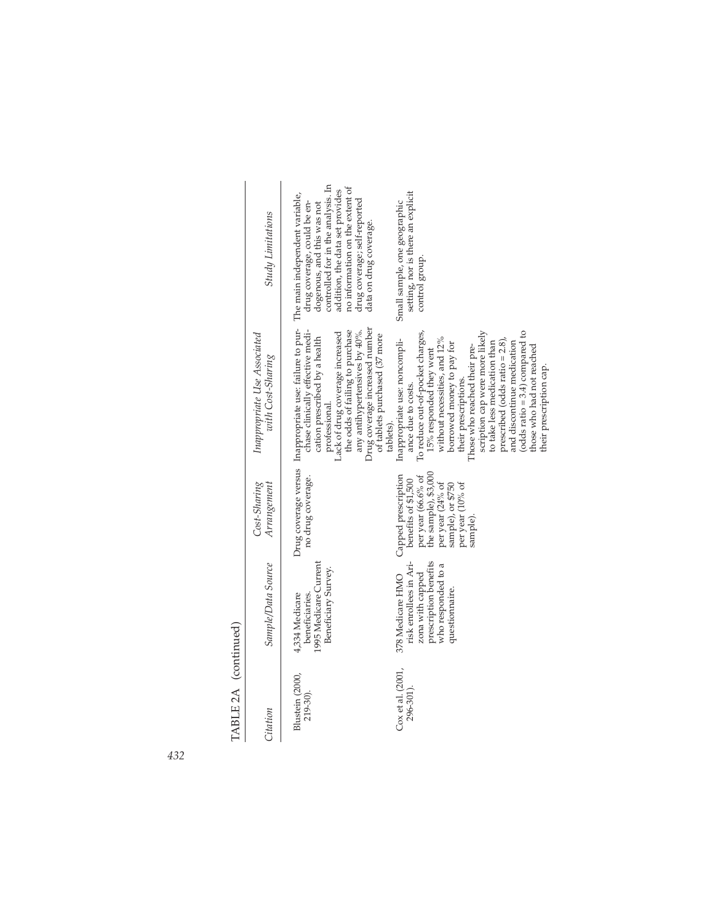$\begin{bmatrix} A & B & C \\ C & D & D \end{bmatrix}$ 

|                      | <b>Study Limitations</b>                          | controlled for in the analysis. In<br>no information on the extent of<br>addition, the data set provides<br>The main independent variable,<br>drug coverage; self-reported<br>drug coverage, could be en-<br>dogenous, and this was not<br>data on drug coverage.                                                                    | setting, nor is there an explicit<br>Small sample, one geographic<br>control group.                                                                                                                                                                                                                                                                                                                                                                                       |
|----------------------|---------------------------------------------------|--------------------------------------------------------------------------------------------------------------------------------------------------------------------------------------------------------------------------------------------------------------------------------------------------------------------------------------|---------------------------------------------------------------------------------------------------------------------------------------------------------------------------------------------------------------------------------------------------------------------------------------------------------------------------------------------------------------------------------------------------------------------------------------------------------------------------|
|                      | Inappropriate Use Associated<br>with Cost-Sharing | Drug coverage versus Inappropriate use: failure to pur-<br>Drug coverage increased number<br>chase clinically effective medi-<br>the odds of failing to purchase<br>any antihypertensives by 40%.<br>Lack of drug coverage increased<br>of tablets purchased (37 more<br>cation prescribed by a health<br>professional.<br>tablets). | scription cap were more likely<br>To reduce out-of-pocket charges,<br>(odds ratio = $3.4$ ) compared to<br>without necessities, and 12%<br>Inappropriate use: noncompli-<br>prescribed (odds ratio $= 2.8$ ),<br>to take less medication than<br>and discontinue medication<br>borrowed money to pay for<br>those who had not reached<br>Those who reached their pre-<br>15% responded they went<br>their prescription cap.<br>their prescriptions.<br>ance due to costs. |
|                      | Cost-Sharing<br>Arrangement                       | no drug coverage.                                                                                                                                                                                                                                                                                                                    | per year (66.6% of<br>the sample), \$3,000<br>Capped prescription<br>benefits of \$1,500<br>per year (24% of<br>per year (10% of<br>sample), or \$750<br>sample)                                                                                                                                                                                                                                                                                                          |
|                      | Sample/Data Source                                | 1995 Medicare Current<br>Beneficiary Survey.<br>beneficiaries.<br>4,334 Medicare                                                                                                                                                                                                                                                     | prescription benefits<br>risk enrollees in Ari-<br>who responded to a<br>zona with capped<br>378 Medicare HMO<br>questionnaire.                                                                                                                                                                                                                                                                                                                                           |
| TABLE 2A (continued) | Citation                                          | Blustein (2000,<br>219-30).                                                                                                                                                                                                                                                                                                          | Cox et al. (2001,<br>296-301).                                                                                                                                                                                                                                                                                                                                                                                                                                            |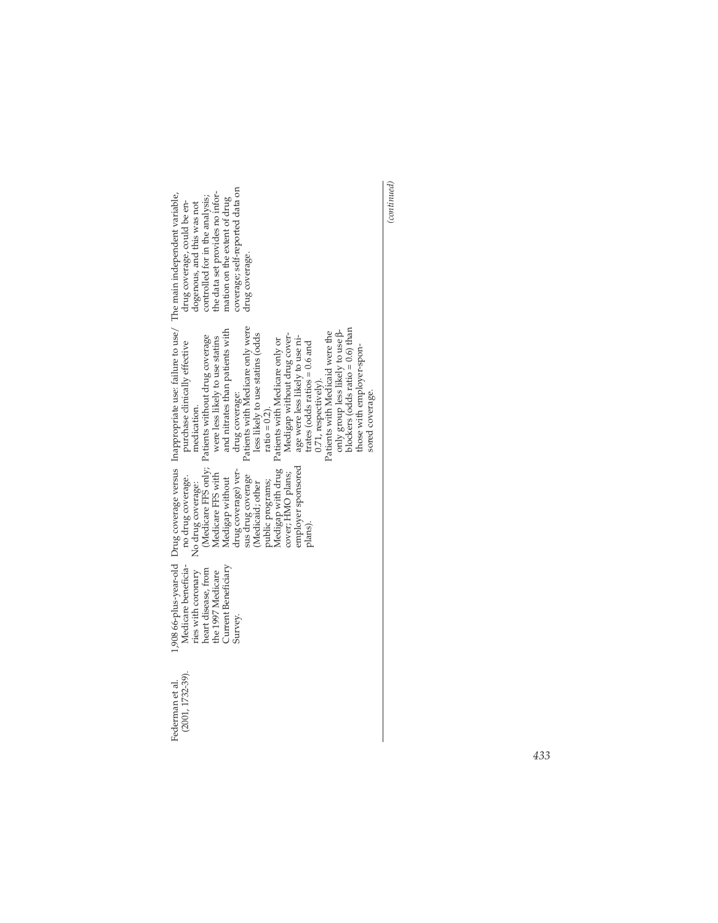| coverage; self-reported data on<br>the data set provides no infor-<br>controlled for in the analysis;<br>mation on the extent of drug<br>drug coverage, could be en-<br>dogenous, and this was not<br>drug coverage.                                                                                                                                                                                                                                                                                                                                                                                                                                                                                                                        |
|---------------------------------------------------------------------------------------------------------------------------------------------------------------------------------------------------------------------------------------------------------------------------------------------------------------------------------------------------------------------------------------------------------------------------------------------------------------------------------------------------------------------------------------------------------------------------------------------------------------------------------------------------------------------------------------------------------------------------------------------|
| 1,908 66-plus-year-old Drug coverage versus Inappropriate use: failure to use/ The main independent variable,<br>Patients with Medicare only were<br>blockers (odds ratio = 0.6) than<br>and nitrates than patients with<br>only group less likely to use $\beta$ -<br>Patients with Medicaid were the<br>less likely to use statins (odds<br>Medigap without drug cover-<br>(Medicare FFS only; Patients without drug coverage<br>were less likely to use statins<br>age were less likely to use ni-<br>Patients with Medicare only or<br>purchase clinically effective<br>trates (odds ratios $= 0.6$ and<br>those with employer-spon-<br>$0.71$ , respectively).<br>sored coverage.<br>drug coverage:<br>$ratio = 0.2$ ).<br>medication. |
| Medigap with drug<br>employer sponsored<br>drug coverage) ver-<br>cover; HMO plans;<br>Medicare FFS with<br>sus drug coverage<br>no drug coverage.<br>Medigap without<br>public programs;<br>Medicaid; other<br>No drug coverage:<br>plans).                                                                                                                                                                                                                                                                                                                                                                                                                                                                                                |
| Medicare beneficia-<br>Current Beneficiary<br>heart disease, from<br>ries with coronary<br>the 1997 Medicare<br>Survey.                                                                                                                                                                                                                                                                                                                                                                                                                                                                                                                                                                                                                     |
| $(2001, 1732 - 39).$<br>Federman et al.                                                                                                                                                                                                                                                                                                                                                                                                                                                                                                                                                                                                                                                                                                     |

 $\left( {continued} \right)$ *(continued)*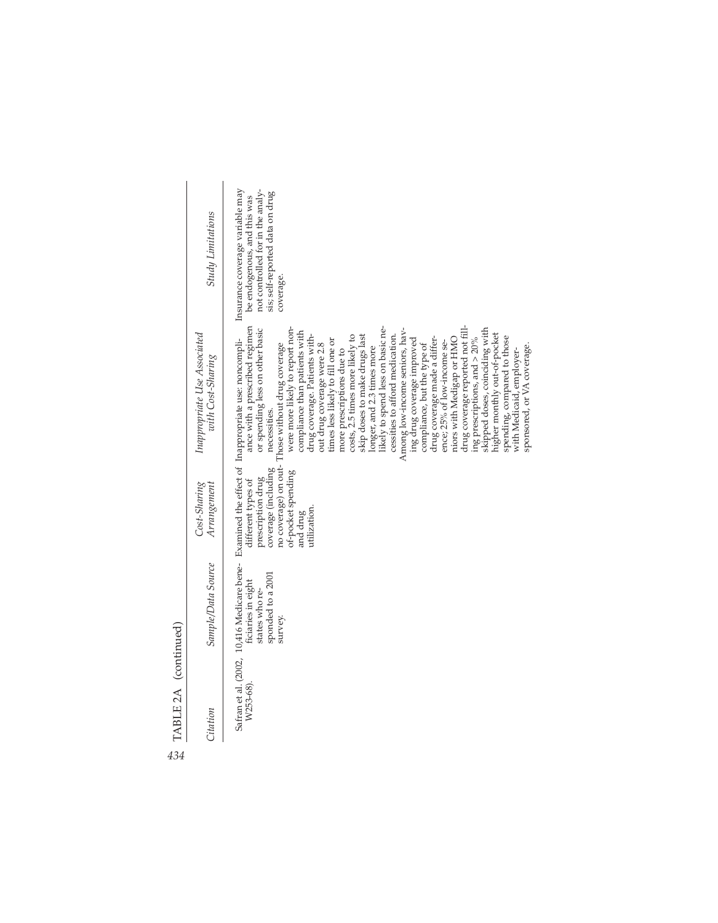| 434 | TABLE 2A (continued) |                                                                                                                    |                                                                                                                                          |                                                                                                                                                                                                                                                                                                                                                                                                                                                                                                                                                                                                                                                                                                                                                                                                                                                                                                                                                                                    |                                                                                                                                                    |
|-----|----------------------|--------------------------------------------------------------------------------------------------------------------|------------------------------------------------------------------------------------------------------------------------------------------|------------------------------------------------------------------------------------------------------------------------------------------------------------------------------------------------------------------------------------------------------------------------------------------------------------------------------------------------------------------------------------------------------------------------------------------------------------------------------------------------------------------------------------------------------------------------------------------------------------------------------------------------------------------------------------------------------------------------------------------------------------------------------------------------------------------------------------------------------------------------------------------------------------------------------------------------------------------------------------|----------------------------------------------------------------------------------------------------------------------------------------------------|
|     | Citation             | Sample/Data Source                                                                                                 | Cost-Sharing<br>Arrangement                                                                                                              | Inappropriate Use Associated<br>with Cost-Sharing                                                                                                                                                                                                                                                                                                                                                                                                                                                                                                                                                                                                                                                                                                                                                                                                                                                                                                                                  | <b>Study Limitations</b>                                                                                                                           |
|     | W253-68)             | Safran et al. (2002, 10,416 Medicare bene-<br>sponded to a 2001<br>ficiaries in eight<br>states who re-<br>survey. | no coverage) on out-<br>coverage (including<br>of-pocket spending<br>prescription drug<br>different types of<br>utilization.<br>and drug | ance with a prescribed regimen<br>likely to spend less on basic ne-<br>or spending less on other basic<br>were more likely to report non-<br>drug coverage reported not fill.<br>skipped doses, coinciding with<br>Among low-income seniors, hav-<br>compliance than patients with<br>higher monthly out-of-pocket<br>skip doses to make drugs last<br>cessities to afford medication.<br>costs, 2.5 times more likely to<br>drug coverage. Patients with-<br>spending, compared to those<br>drug coverage made a differ-<br>Examined the effect of Inappropriate use: noncompli-<br>niors with Medigap or HMO<br>ing drug coverage improved<br>ing prescriptions, and $>20\%$<br>times less likely to fill one or<br>ence; 25% of low-income se-<br>Those without drug coverage<br>out drug coverage were 2.8<br>compliance, but the type of<br>sponsored, or VA coverage.<br>longer, and 2.3 times more<br>with Medicaid, employer-<br>more prescriptions due to<br>necessities. | Insurance coverage variable may<br>not controlled for in the analy-<br>sis; self-reported data on drug<br>be endogenous, and this was<br>coverage. |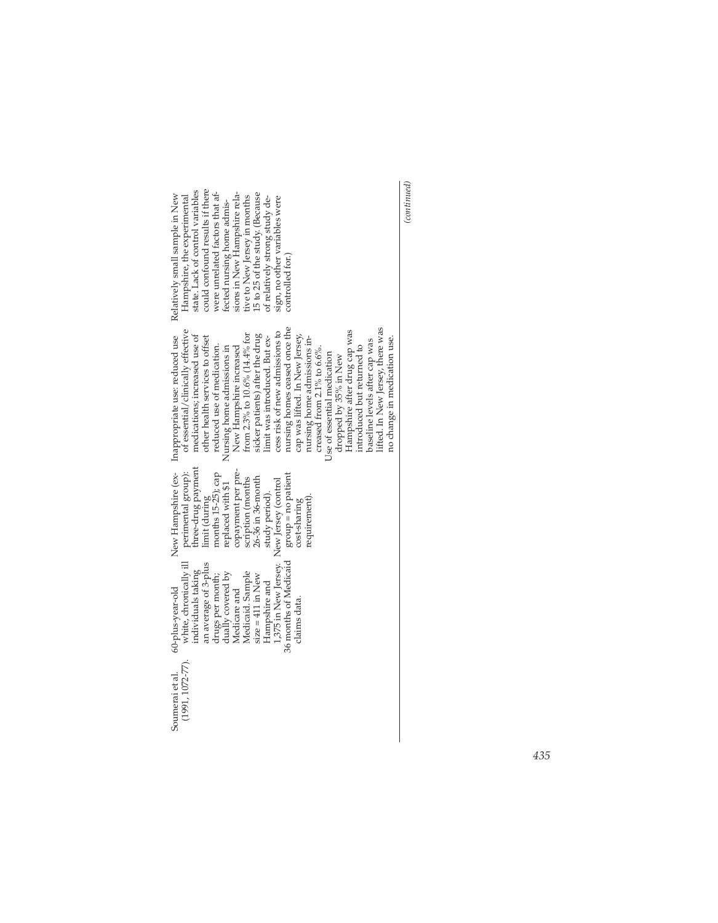| could confound results if there<br>state. Lack of control variables<br>were unrelated factors that af-<br>sions in New Hampshire rela-<br>15 to 25 of the study. (Because<br>Relatively small sample in New<br>Hampshire, the experimental<br>tive to New Jersey in months<br>of relatively strong study de-<br>sign, no other variables were<br>fected nursing home admis-<br>controlled for.)                                                                                                                                                                                                                                                                                                                                                           |
|-----------------------------------------------------------------------------------------------------------------------------------------------------------------------------------------------------------------------------------------------------------------------------------------------------------------------------------------------------------------------------------------------------------------------------------------------------------------------------------------------------------------------------------------------------------------------------------------------------------------------------------------------------------------------------------------------------------------------------------------------------------|
| nursing homes ceased once the<br>ifted. In New Jersey, there was<br>of essential/clinically effective<br>Hampshire after drug cap was<br>cess risk of new admissions to<br>from 2.3% to 10.6% (14.4% for<br>medications; increased use of<br>sicker patients) after the drug<br>cap was lifted. In New Jersey,<br>New Hampshire (ex- Inappropriate use: reduced use<br>other health services to offset<br>limit was introduced. But ex-<br>nursing home admissions in-<br>no change in medication use.<br>baseline levels after cap was<br>reduced use of medication.<br>New Hampshire increased<br>Nursing home admissions in<br>introduced but returned to<br>creased from $2.1\%$ to $6.6\%$ .<br>Use of essential medication<br>dropped by 35% in New |
| three-drug payment<br>copayment per pre-<br>perimental group):<br>months 15-25); cap<br>group = no patient<br>$26-36$ in $36$ -month<br>scription (months<br>replaced with \$1<br>study period).<br>limit (during<br>requirement)<br>cost-sharing                                                                                                                                                                                                                                                                                                                                                                                                                                                                                                         |
| 1,375 in New Jersey. New Jersey (control<br>36 months of Medicaid<br>white, chronically ill<br>an average of 3-plus<br>individuals taking<br>dually covered by<br>Medicaid. Sample<br>drugs per month;<br>size = $411$ in New<br>Hampshire and<br>Medicare and<br>60-plus-year-old<br>claims data.                                                                                                                                                                                                                                                                                                                                                                                                                                                        |
| $(1991, 1072 - 77)$ .<br>Soumerai et al.                                                                                                                                                                                                                                                                                                                                                                                                                                                                                                                                                                                                                                                                                                                  |

 $\left( {continued} \right)$ *(continued)*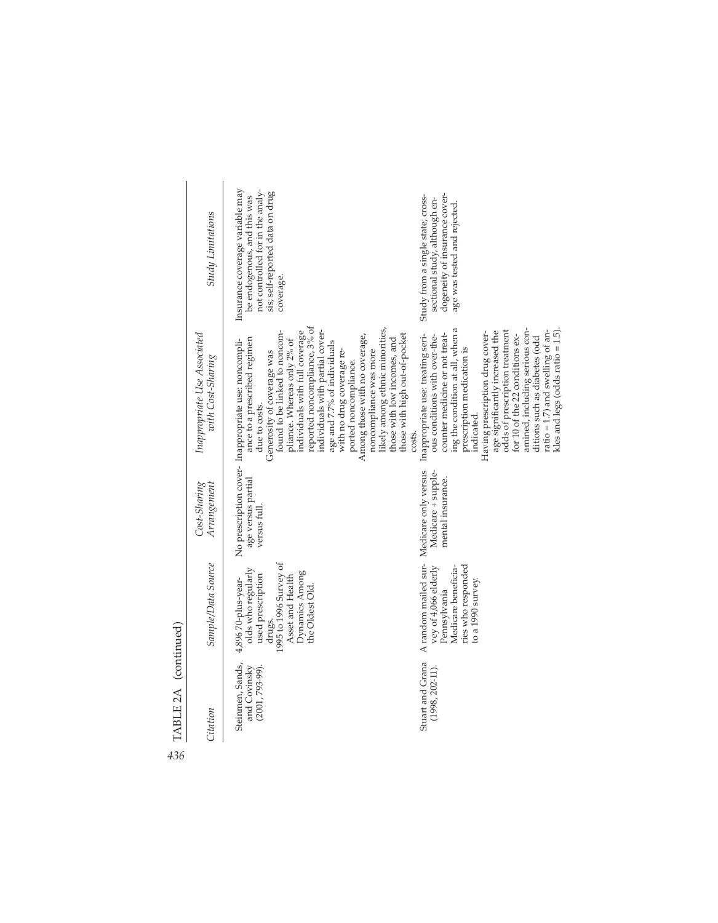| Study Limitations                                 | Insurance coverage variable may<br>not controlled for in the analy-<br>sis; self-reported data on drug<br>be endogenous, and this was<br>coverage.                                                                                                                                                                                                                                                                                                                                                                                                          | dogeneity of insurance cover-<br>Study from a single state; cross-<br>sectional study, although en-<br>age was tested and rejected.                                                                                                                                                                                                                                                                                                                                                     |
|---------------------------------------------------|-------------------------------------------------------------------------------------------------------------------------------------------------------------------------------------------------------------------------------------------------------------------------------------------------------------------------------------------------------------------------------------------------------------------------------------------------------------------------------------------------------------------------------------------------------------|-----------------------------------------------------------------------------------------------------------------------------------------------------------------------------------------------------------------------------------------------------------------------------------------------------------------------------------------------------------------------------------------------------------------------------------------------------------------------------------------|
| Inappropriate Use Associated<br>with Cost-Sharing | reported noncompliance, 3% of<br>likely among ethnic minorities,<br>found to be linked to noncom-<br>individuals with partial cover-<br>individuals with full coverage<br>those with high out-of-pocket<br>Among those with no coverage,<br>ance to a prescribed regimen<br>No prescription cover- Inappropriate use: noncompli-<br>pliance. Whereas only 2% of<br>hose with low incomes, and<br>age and 7.7% of individuals<br>noncompliance was more<br>Generosity of coverage was<br>with no drug coverage re-<br>ported noncompliance.<br>due to costs. | ing the condition at all, when a<br>odds of prescription treatment<br>amined, including serious con-<br>age significantly increased the<br>ratio = 1.7) and swelling of an-<br>Having prescription drug cover-<br>kles and legs (odds ratio $= 1.5$ )<br>counter medicine or not treat-<br>for 10 of the 22 conditions ex-<br>Inappropriate use: treating seri-<br>ous conditions with over-the-<br>ditions such as diabetes (odd<br>prescription medication is<br>indicated.<br>costs. |
| $Cost\text{-}Sharing$<br>Arrangement              | age versus partial<br>versus full                                                                                                                                                                                                                                                                                                                                                                                                                                                                                                                           | Medicare only versus<br>Medicare + supple-<br>mental insurance.                                                                                                                                                                                                                                                                                                                                                                                                                         |
| Sample/Data Source                                | 1995 to 1996 Survey of<br>olds who regularly<br>Dynamics Among<br>used prescription<br>Asset and Health<br>4,896 70-plus-year-<br>the Oldest Old.<br>drugs.                                                                                                                                                                                                                                                                                                                                                                                                 | A random mailed sur-<br>ries who responded<br>vey of 4,066 elderly<br>Medicare beneficia-<br>to a 1990 survey.<br>Pennsylvania                                                                                                                                                                                                                                                                                                                                                          |
| Citation                                          | Steinmen, Sands,<br>and Covinsky<br>$(2001, 793-99).$                                                                                                                                                                                                                                                                                                                                                                                                                                                                                                       | Stuart and Grana<br>$(1998, 202 - 11).$                                                                                                                                                                                                                                                                                                                                                                                                                                                 |

*436* TABLE 2A (continued)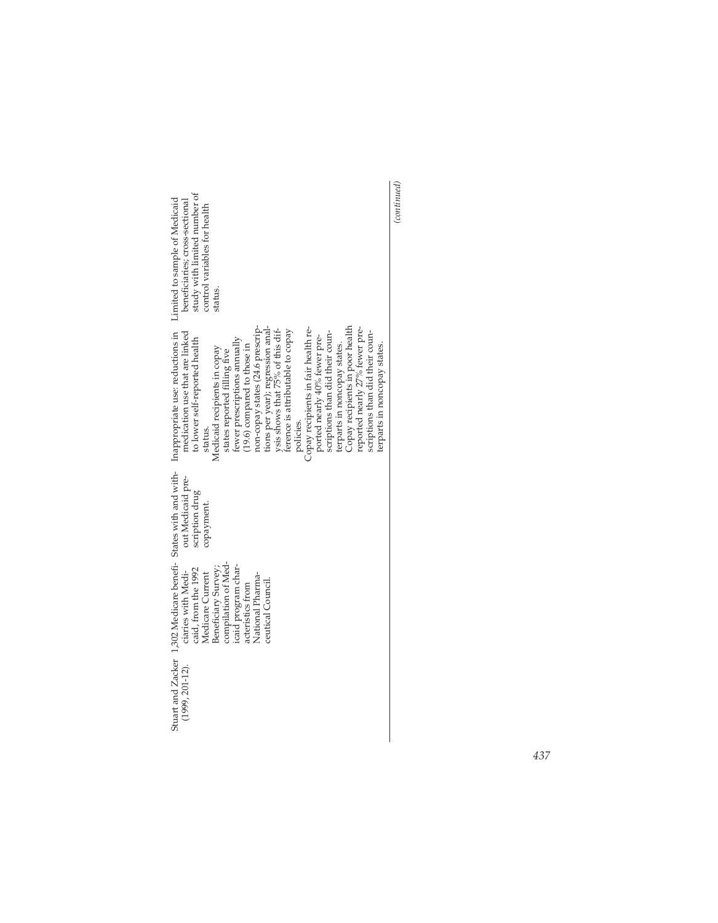| study with limited number of<br>Limited to sample of Medicaid<br>beneficiaries; cross-sectional<br>control variables for health<br>status.                                                                                                                                                                                                                                                                                                                                                                                                                                                                                                                                                    |
|-----------------------------------------------------------------------------------------------------------------------------------------------------------------------------------------------------------------------------------------------------------------------------------------------------------------------------------------------------------------------------------------------------------------------------------------------------------------------------------------------------------------------------------------------------------------------------------------------------------------------------------------------------------------------------------------------|
| Inappropriate use: reductions in<br>Copay recipients in poor health<br>non-copay states (24.6 prescrip-<br>tions per year); regression anal-<br>reported nearly 27% fewer pre-<br>Copay recipients in fair health re-<br>ysis shows that 75% of this dif-<br>ference is attributable to copay<br>medication use that are linked<br>scriptions than did their coun-<br>scriptions than did their coun-<br>ported nearly 40% fewer pre-<br>fewer prescriptions annually<br>to lower self-reported health<br>terparts in noncopay states.<br>(19.6) compared to those in<br>terparts in noncopay states.<br>Medicaid recipients in copay<br>states reported filling five<br>policies.<br>status. |
| out Medicaid pre-<br>scription drug<br>copayment.                                                                                                                                                                                                                                                                                                                                                                                                                                                                                                                                                                                                                                             |
| Stuart and Zacker 1,302 Medicare benefi- States with and with-<br>compilation of Med-<br>icaid program char-<br>Beneficiary Survey;<br>caid, from the 1992<br>ciaries with Medi-<br>Medicare Current<br>National Pharma-<br>ceutical Council.<br>acteristics from                                                                                                                                                                                                                                                                                                                                                                                                                             |
| $(1999, 201 - 12).$                                                                                                                                                                                                                                                                                                                                                                                                                                                                                                                                                                                                                                                                           |

 $\label{eq:contin} (continued)$ *(continued)*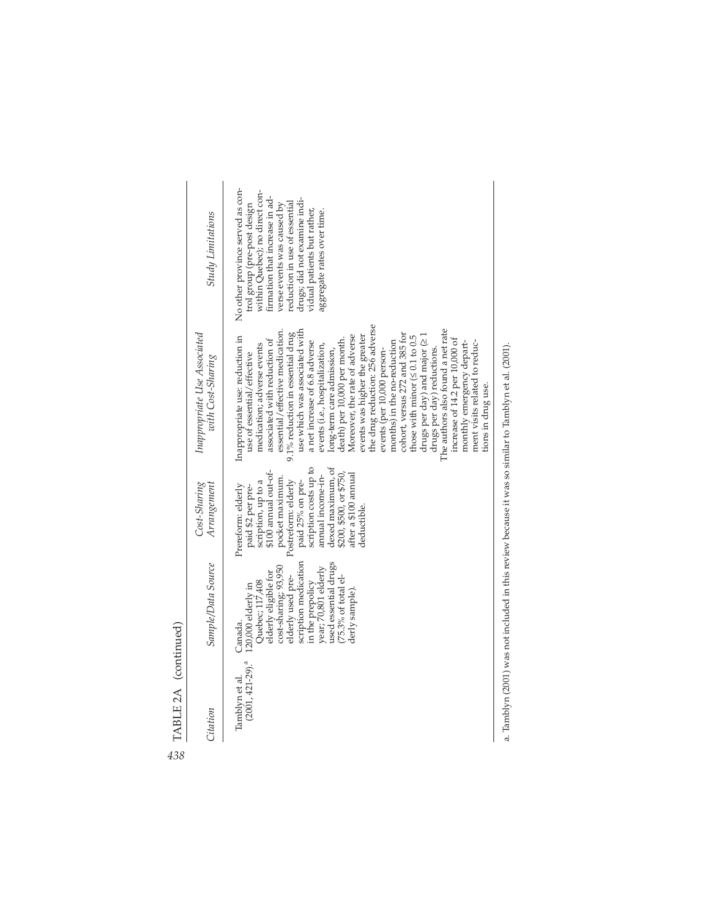| ï<br>ì               |
|----------------------|
| ໍ<br>Ë<br>Ë<br>T A 1 |

| Citation                                 | Sample/Data Source                                                                                                                                                                                                                                         | $Cost\text{-}Sharing$<br>Arrangement                                                                                                                                                                                                                                                     | Inappropriate Use Associated<br>with Cost-Sharing                                                                                                                                                                                                                                                                                                                                                                                                                                                                                                                                                                                                                                                                                                                                                                                              | <b>Study Limitations</b>                                                                                                                                                                                                                                                                        |
|------------------------------------------|------------------------------------------------------------------------------------------------------------------------------------------------------------------------------------------------------------------------------------------------------------|------------------------------------------------------------------------------------------------------------------------------------------------------------------------------------------------------------------------------------------------------------------------------------------|------------------------------------------------------------------------------------------------------------------------------------------------------------------------------------------------------------------------------------------------------------------------------------------------------------------------------------------------------------------------------------------------------------------------------------------------------------------------------------------------------------------------------------------------------------------------------------------------------------------------------------------------------------------------------------------------------------------------------------------------------------------------------------------------------------------------------------------------|-------------------------------------------------------------------------------------------------------------------------------------------------------------------------------------------------------------------------------------------------------------------------------------------------|
| $(2001, 421 - 29)^{a}$<br>Tamblyn et al. | scription medication<br>used essential drugs<br>cost-sharing; 93,950<br>year; 70,801 elderly<br>elderly eligible for<br>(75.3% of total el-<br>elderly used pre-<br>Quebec; 117,408<br>in the prepolicy<br>120,000 elderly in<br>derly sample).<br>Canada. | scription costs up to<br>dexed maximum, of<br>\$100 annual out-of-<br>\$200, \$500, or \$750,<br>annual income-in-<br>after a \$100 annual<br>pocket maximum.<br>scription, up to a<br>Postreform: elderly<br>paid 25% on pre-<br>Prereform: elderly<br>paid \$2 per pre-<br>deductible. | the drug reduction: 256 adverse<br>use which was associated with<br>The authors also found a net rate<br>essential/effective medication.<br>cohort, versus 272 and 385 for<br>9.1% reduction in essential drug<br>Inappropriate use: reduction in<br>Moreover, the rate of adverse<br>events was higher the greater<br>those with minor $( \leq 0.1)$ to 0.5<br>drugs per day) and major $\geq 1$<br>increase of 14.2 per 10,000 of<br>death) per 10,000 per month.<br>associated with reduction of<br>months) in the no-reduction<br>a net increase of 6.8 adverse<br>monthly emergency depart-<br>ment visits related to reduc-<br>medication; adverse events<br>events (i.e., hospitalization,<br>long-term care admission,<br>drugs per day) reductions.<br>events (per 10,000 person-<br>use of essential/effective<br>tions in drug use. | No other province served as con-<br>within Quebec); no direct con-<br>firmation that increase in ad-<br>drugs; did not examine indi-<br>reduction in use of essential<br>verse events was caused by<br>trol group (pre-post design<br>vidual patients but rather,<br>aggregate rates over time. |

a. Tamblyn (2001) was not included in this review because it was so similar to Tamblyn et al. (2001). a. Tamblyn (2001) was not included in this review because it was so similar to Tamblyn et al. (2001).

*438*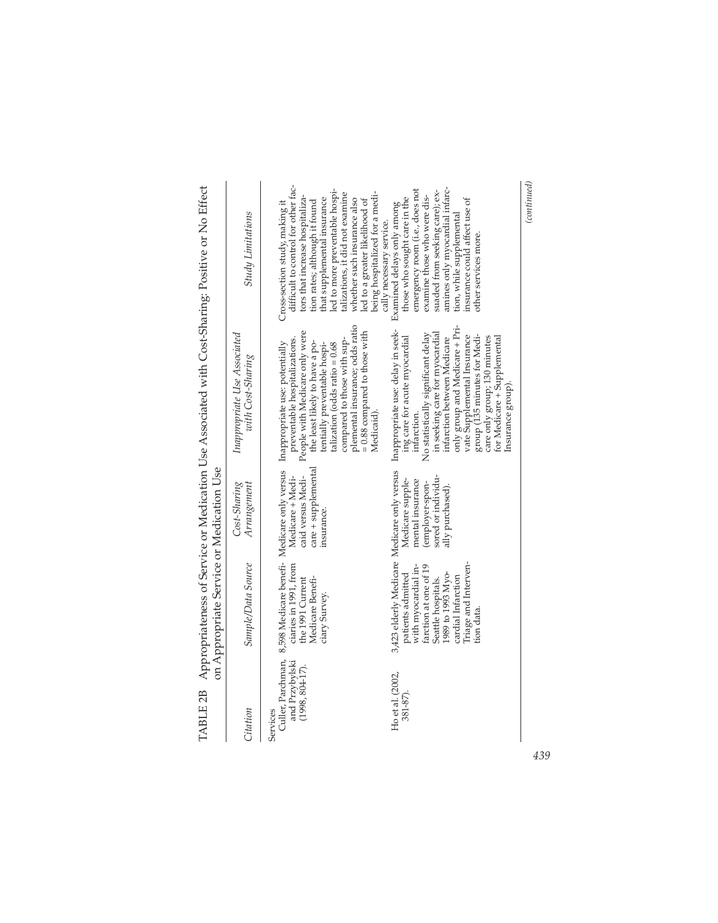|                                                 | on Appropriate Service or Medication Use                                                                                                                                                                                |                                                                                                   |                                                                                                                                                                                                                                                                                                                                         |                                                                                                                                                                                                                                                                                                                                                    |
|-------------------------------------------------|-------------------------------------------------------------------------------------------------------------------------------------------------------------------------------------------------------------------------|---------------------------------------------------------------------------------------------------|-----------------------------------------------------------------------------------------------------------------------------------------------------------------------------------------------------------------------------------------------------------------------------------------------------------------------------------------|----------------------------------------------------------------------------------------------------------------------------------------------------------------------------------------------------------------------------------------------------------------------------------------------------------------------------------------------------|
| Citation                                        | Sample/Data Source                                                                                                                                                                                                      | Cost-Sharing<br>Arrangement                                                                       | Inappropriate Use Associated<br>with Cost-Sharing                                                                                                                                                                                                                                                                                       | <b>Study Limitations</b>                                                                                                                                                                                                                                                                                                                           |
| and Przybylski<br>$(1998, 804-17).$<br>Services | Culler, Parchman, 8,598 Medicare benefi- Medicare only versus<br>ciaries in 1991, from<br>Medicare Benefi-<br>the 1991 Current<br>ciary Survey.                                                                         | care + supplemental<br>Medicare + Medi-<br>caid versus Medi-<br>insurance.                        | plemental insurance; odds ratio<br>$= 0.88$ compared to those with<br>People with Medicare only were<br>compared to those with sup-<br>preventable hospitalizations.<br>the least likely to have a po-<br>Inappropriate use: potentially<br>talization (odds ratio = 0.68<br>tentially preventable hospi-                               | difficult to control for other fac-<br>led to more preventable hospi-<br>talizations, it did not examine<br>tors that increase hospitaliza-<br>that supplemental insurance<br>whether such insurance also<br>led to a greater likelihood of<br>tion rates; although it found<br>Cross-section study, making it                                     |
| Ho et al. (2002,<br>381-87).                    | 3,423 elderly Medicare Medicare only versus<br>Triage and Interven-<br>with myocardial in-<br>farction at one of 19<br>1989 to 1993 Myo-<br>patients admitted<br>cardial Infarction<br>Seattle hospitals.<br>tion data. | sored or individu-<br>Medicare supple-<br>mental insurance<br>(employer-spon-<br>ally purchased). | only group and Medicare + Pri-<br>Inappropriate use: delay in seek-<br>No statistically significant delay<br>in seeking care for myocardial<br>group (135 minutes for Medi-<br>vate Supplemental Insurance<br>ing care for acute myocardial<br>infarction between Medicare<br>care only group; 130 minutes<br>infarction.<br>Medicaid). | emergency room (i.e., does not<br>amines only myocardial infarc-<br>suaded from seeking care); ex-<br>being hospitalized for a medi-<br>examine those who were dis-<br>those who sought care in the<br>insurance could affect use of<br>Examined delays only among<br>tion, while supplemental<br>cally necessary service.<br>other services more. |
|                                                 |                                                                                                                                                                                                                         |                                                                                                   | for Medicare + Supplemental<br>Insurance group)                                                                                                                                                                                                                                                                                         |                                                                                                                                                                                                                                                                                                                                                    |

TABLE 2B Appropriateness of Service or Medication Use Associated with Cost-Sharing: Positive or No Effect TABLE 2B Appropriateness of Service or Medication Use Associated with Cost-Sharing: Positive or No Effect

*439*

 $\left( {continued} \right)$ *(continued)*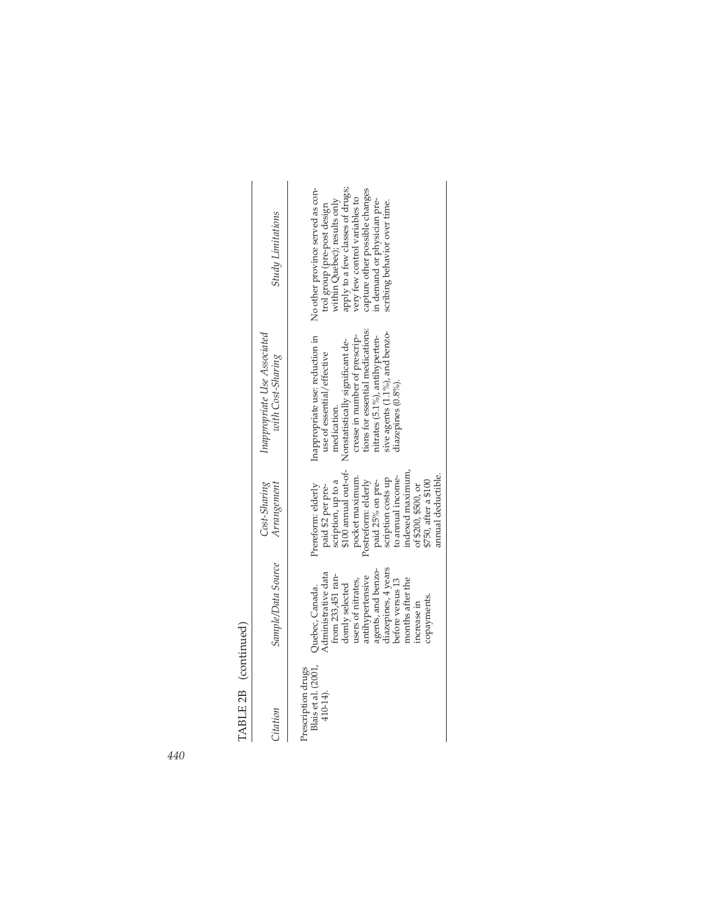TABLE 2B (continued)

| TABLE 2B (continued)                                  |                                                                                                                                                                                                                                            |                                                                                                                                                                                                                                                                                        |                                                                                                                                                                                                                                                                                     |                                                                                                                                                                                                                                                                       |
|-------------------------------------------------------|--------------------------------------------------------------------------------------------------------------------------------------------------------------------------------------------------------------------------------------------|----------------------------------------------------------------------------------------------------------------------------------------------------------------------------------------------------------------------------------------------------------------------------------------|-------------------------------------------------------------------------------------------------------------------------------------------------------------------------------------------------------------------------------------------------------------------------------------|-----------------------------------------------------------------------------------------------------------------------------------------------------------------------------------------------------------------------------------------------------------------------|
| Citation                                              | Sample/Data Source                                                                                                                                                                                                                         | Cost-Sharing<br>Arrangement                                                                                                                                                                                                                                                            | Inappropriate Use Associated<br>with Cost-Sharing                                                                                                                                                                                                                                   | <b>Study Limitations</b>                                                                                                                                                                                                                                              |
| Blais et al. (2001,<br>Prescription drugs<br>410-14). | diazepines, 4 years<br>agents, and benzo-<br>Administrative data<br>from 233,451 ran-<br>antihypertensive<br>before versus 13<br>months after the<br>users of nitrates,<br>domly selected<br>Quebec, Canada.<br>copayments.<br>increase in | \$100 annual out-ot-<br>indexed maximum,<br>amual deductible.<br>to annual income-<br>pocket maximum.<br>scription costs up<br>Postreform: elderly<br>scription, up to a<br>paid 25% on pre-<br>\$750, after a \$100<br>Prereform: elderly<br>of \$200, \$500, or<br>paid \$2 per pre- | tions for essential medications:<br>sive agents $(1.1\%)$ , and benzo-<br>Inappropriate use: reduction in<br>nitrates (5.1%), antihyperten-<br>crease in number of prescrip-<br>Nonstatistically significant de-<br>use of essential/effective<br>diazepines (0.8%).<br>medication. | No other province served as con-<br>apply to a few classes of drugs;<br>capture other possible changes<br>very few control variables to<br>within Quebec); results only<br>in demand or physician pre-<br>scribing behavior over time.<br>trol group (pre-post design |

*440*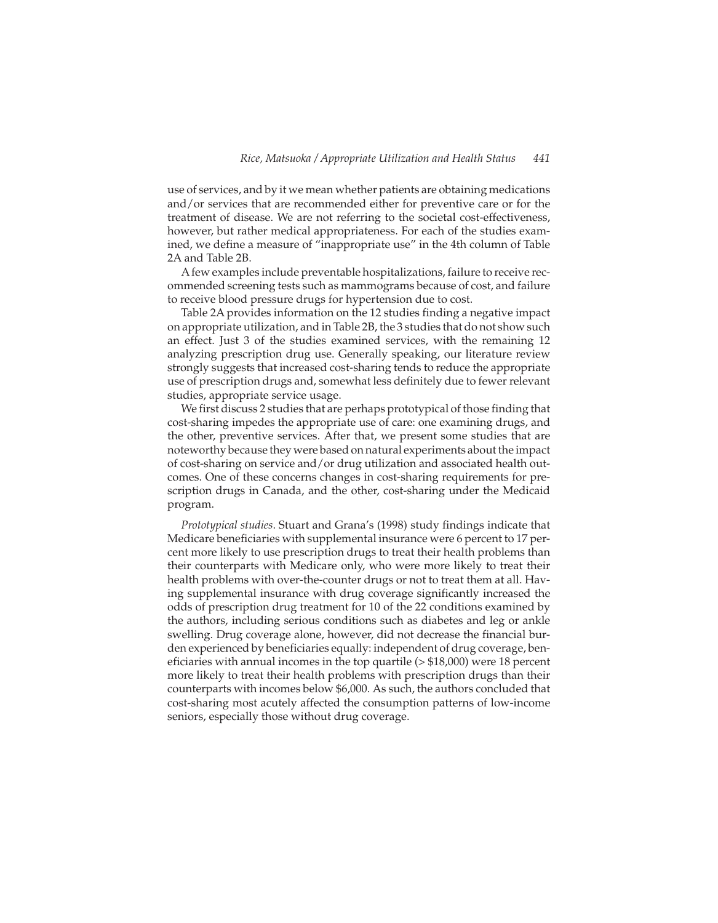use of services, and by it we mean whether patients are obtaining medications and/or services that are recommended either for preventive care or for the treatment of disease. We are not referring to the societal cost-effectiveness, however, but rather medical appropriateness. For each of the studies examined, we define a measure of "inappropriate use" in the 4th column of Table 2A and Table 2B.

Afew examples include preventable hospitalizations, failure to receive recommended screening tests such as mammograms because of cost, and failure to receive blood pressure drugs for hypertension due to cost.

Table 2A provides information on the 12 studies finding a negative impact on appropriate utilization, and in Table 2B, the 3 studies that do not show such an effect. Just 3 of the studies examined services, with the remaining 12 analyzing prescription drug use. Generally speaking, our literature review strongly suggests that increased cost-sharing tends to reduce the appropriate use of prescription drugs and, somewhat less definitely due to fewer relevant studies, appropriate service usage.

We first discuss 2 studies that are perhaps prototypical of those finding that cost-sharing impedes the appropriate use of care: one examining drugs, and the other, preventive services. After that, we present some studies that are noteworthy because they were based on natural experiments about the impact of cost-sharing on service and/or drug utilization and associated health outcomes. One of these concerns changes in cost-sharing requirements for prescription drugs in Canada, and the other, cost-sharing under the Medicaid program.

*Prototypical studies*. Stuart and Grana's (1998) study findings indicate that Medicare beneficiaries with supplemental insurance were 6 percent to 17 percent more likely to use prescription drugs to treat their health problems than their counterparts with Medicare only, who were more likely to treat their health problems with over-the-counter drugs or not to treat them at all. Having supplemental insurance with drug coverage significantly increased the odds of prescription drug treatment for 10 of the 22 conditions examined by the authors, including serious conditions such as diabetes and leg or ankle swelling. Drug coverage alone, however, did not decrease the financial burden experienced by beneficiaries equally: independent of drug coverage, beneficiaries with annual incomes in the top quartile (> \$18,000) were 18 percent more likely to treat their health problems with prescription drugs than their counterparts with incomes below \$6,000. As such, the authors concluded that cost-sharing most acutely affected the consumption patterns of low-income seniors, especially those without drug coverage.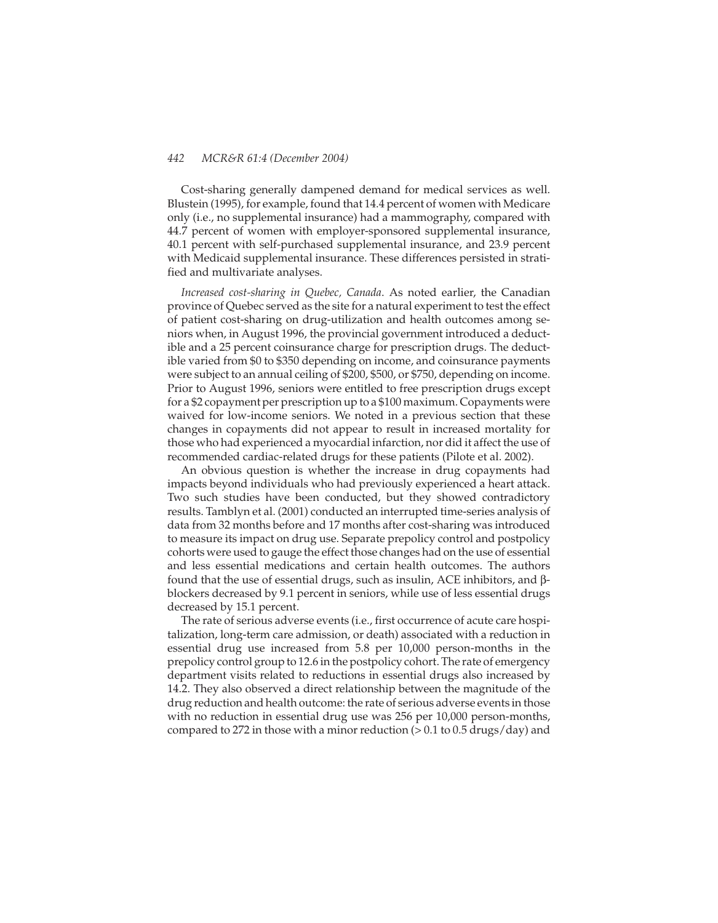Cost-sharing generally dampened demand for medical services as well. Blustein (1995), for example, found that 14.4 percent of women with Medicare only (i.e., no supplemental insurance) had a mammography, compared with 44.7 percent of women with employer-sponsored supplemental insurance, 40.1 percent with self-purchased supplemental insurance, and 23.9 percent with Medicaid supplemental insurance. These differences persisted in stratified and multivariate analyses.

*Increased cost-sharing in Quebec, Canada*. As noted earlier, the Canadian province of Quebec served as the site for a natural experiment to test the effect of patient cost-sharing on drug-utilization and health outcomes among seniors when, in August 1996, the provincial government introduced a deductible and a 25 percent coinsurance charge for prescription drugs. The deductible varied from \$0 to \$350 depending on income, and coinsurance payments were subject to an annual ceiling of \$200, \$500, or \$750, depending on income. Prior to August 1996, seniors were entitled to free prescription drugs except for a \$2 copayment per prescription up to a \$100 maximum. Copayments were waived for low-income seniors. We noted in a previous section that these changes in copayments did not appear to result in increased mortality for those who had experienced a myocardial infarction, nor did it affect the use of recommended cardiac-related drugs for these patients (Pilote et al. 2002).

An obvious question is whether the increase in drug copayments had impacts beyond individuals who had previously experienced a heart attack. Two such studies have been conducted, but they showed contradictory results. Tamblyn et al. (2001) conducted an interrupted time-series analysis of data from 32 months before and 17 months after cost-sharing was introduced to measure its impact on drug use. Separate prepolicy control and postpolicy cohorts were used to gauge the effect those changes had on the use of essential and less essential medications and certain health outcomes. The authors found that the use of essential drugs, such as insulin, ACE inhibitors, and βblockers decreased by 9.1 percent in seniors, while use of less essential drugs decreased by 15.1 percent.

The rate of serious adverse events (i.e., first occurrence of acute care hospitalization, long-term care admission, or death) associated with a reduction in essential drug use increased from 5.8 per 10,000 person-months in the prepolicy control group to 12.6 in the postpolicy cohort. The rate of emergency department visits related to reductions in essential drugs also increased by 14.2. They also observed a direct relationship between the magnitude of the drug reduction and health outcome: the rate of serious adverse events in those with no reduction in essential drug use was 256 per 10,000 person-months, compared to 272 in those with a minor reduction (> 0.1 to 0.5 drugs/day) and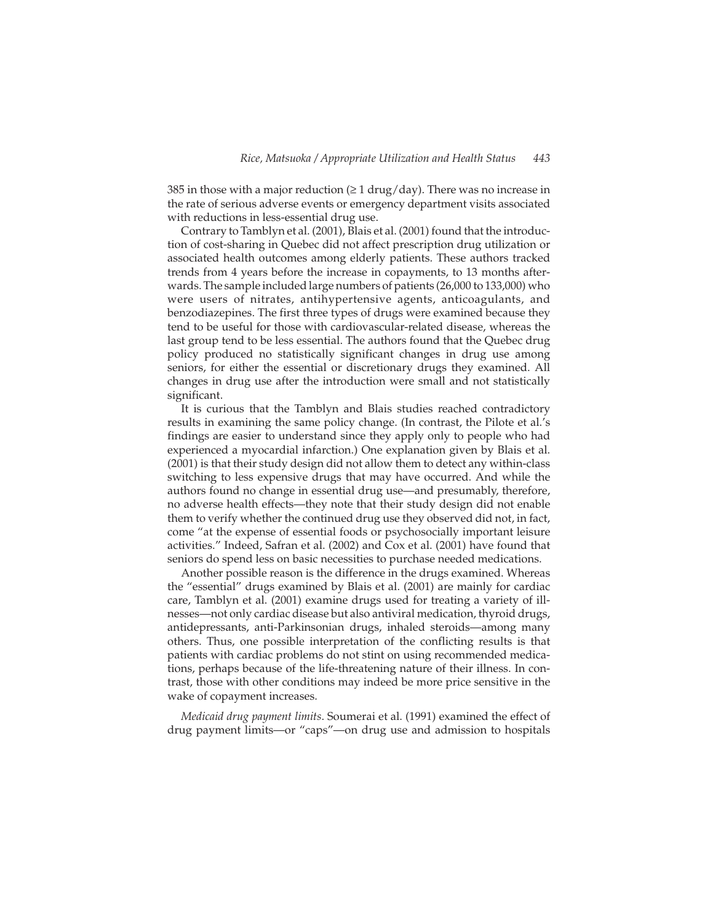385 in those with a major reduction  $(≥ 1$  drug/day). There was no increase in the rate of serious adverse events or emergency department visits associated with reductions in less-essential drug use.

Contrary to Tamblyn et al. (2001), Blais et al. (2001) found that the introduction of cost-sharing in Quebec did not affect prescription drug utilization or associated health outcomes among elderly patients. These authors tracked trends from 4 years before the increase in copayments, to 13 months afterwards. The sample included large numbers of patients (26,000 to 133,000) who were users of nitrates, antihypertensive agents, anticoagulants, and benzodiazepines. The first three types of drugs were examined because they tend to be useful for those with cardiovascular-related disease, whereas the last group tend to be less essential. The authors found that the Quebec drug policy produced no statistically significant changes in drug use among seniors, for either the essential or discretionary drugs they examined. All changes in drug use after the introduction were small and not statistically significant.

It is curious that the Tamblyn and Blais studies reached contradictory results in examining the same policy change. (In contrast, the Pilote et al.'s findings are easier to understand since they apply only to people who had experienced a myocardial infarction.) One explanation given by Blais et al. (2001) is that their study design did not allow them to detect any within-class switching to less expensive drugs that may have occurred. And while the authors found no change in essential drug use—and presumably, therefore, no adverse health effects—they note that their study design did not enable them to verify whether the continued drug use they observed did not, in fact, come "at the expense of essential foods or psychosocially important leisure activities." Indeed, Safran et al. (2002) and Cox et al. (2001) have found that seniors do spend less on basic necessities to purchase needed medications.

Another possible reason is the difference in the drugs examined. Whereas the "essential" drugs examined by Blais et al. (2001) are mainly for cardiac care, Tamblyn et al. (2001) examine drugs used for treating a variety of illnesses—not only cardiac disease but also antiviral medication, thyroid drugs, antidepressants, anti-Parkinsonian drugs, inhaled steroids—among many others. Thus, one possible interpretation of the conflicting results is that patients with cardiac problems do not stint on using recommended medications, perhaps because of the life-threatening nature of their illness. In contrast, those with other conditions may indeed be more price sensitive in the wake of copayment increases.

*Medicaid drug payment limits*. Soumerai et al. (1991) examined the effect of drug payment limits—or "caps"—on drug use and admission to hospitals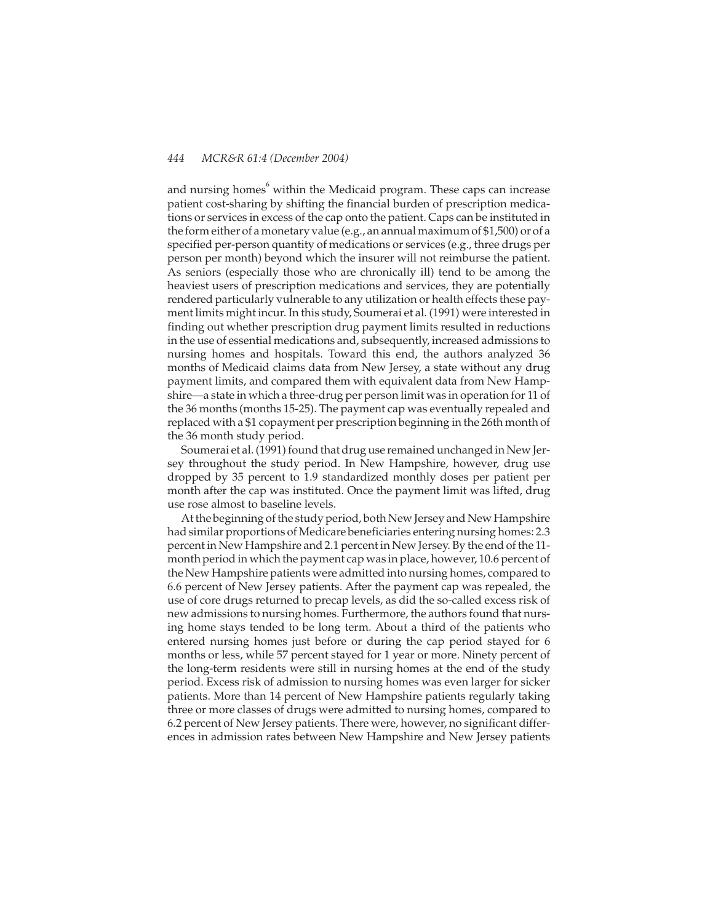and nursing homes $\degree$  within the Medicaid program. These caps can increase patient cost-sharing by shifting the financial burden of prescription medications or services in excess of the cap onto the patient. Caps can be instituted in the form either of a monetary value (e.g., an annual maximum of \$1,500) or of a specified per-person quantity of medications or services (e.g., three drugs per person per month) beyond which the insurer will not reimburse the patient. As seniors (especially those who are chronically ill) tend to be among the heaviest users of prescription medications and services, they are potentially rendered particularly vulnerable to any utilization or health effects these payment limits might incur. In this study, Soumerai et al. (1991) were interested in finding out whether prescription drug payment limits resulted in reductions in the use of essential medications and, subsequently, increased admissions to nursing homes and hospitals. Toward this end, the authors analyzed 36 months of Medicaid claims data from New Jersey, a state without any drug payment limits, and compared them with equivalent data from New Hampshire—a state in which a three-drug per person limit was in operation for 11 of the 36 months (months 15-25). The payment cap was eventually repealed and replaced with a \$1 copayment per prescription beginning in the 26th month of the 36 month study period.

Soumerai et al. (1991) found that drug use remained unchanged in New Jersey throughout the study period. In New Hampshire, however, drug use dropped by 35 percent to 1.9 standardized monthly doses per patient per month after the cap was instituted. Once the payment limit was lifted, drug use rose almost to baseline levels.

At the beginning of the study period, both New Jersey and New Hampshire had similar proportions of Medicare beneficiaries entering nursing homes: 2.3 percent in New Hampshire and 2.1 percent in New Jersey. By the end of the 11 month period in which the payment cap was in place, however, 10.6 percent of the New Hampshire patients were admitted into nursing homes, compared to 6.6 percent of New Jersey patients. After the payment cap was repealed, the use of core drugs returned to precap levels, as did the so-called excess risk of new admissions to nursing homes. Furthermore, the authors found that nursing home stays tended to be long term. About a third of the patients who entered nursing homes just before or during the cap period stayed for 6 months or less, while 57 percent stayed for 1 year or more. Ninety percent of the long-term residents were still in nursing homes at the end of the study period. Excess risk of admission to nursing homes was even larger for sicker patients. More than 14 percent of New Hampshire patients regularly taking three or more classes of drugs were admitted to nursing homes, compared to 6.2 percent of New Jersey patients. There were, however, no significant differences in admission rates between New Hampshire and New Jersey patients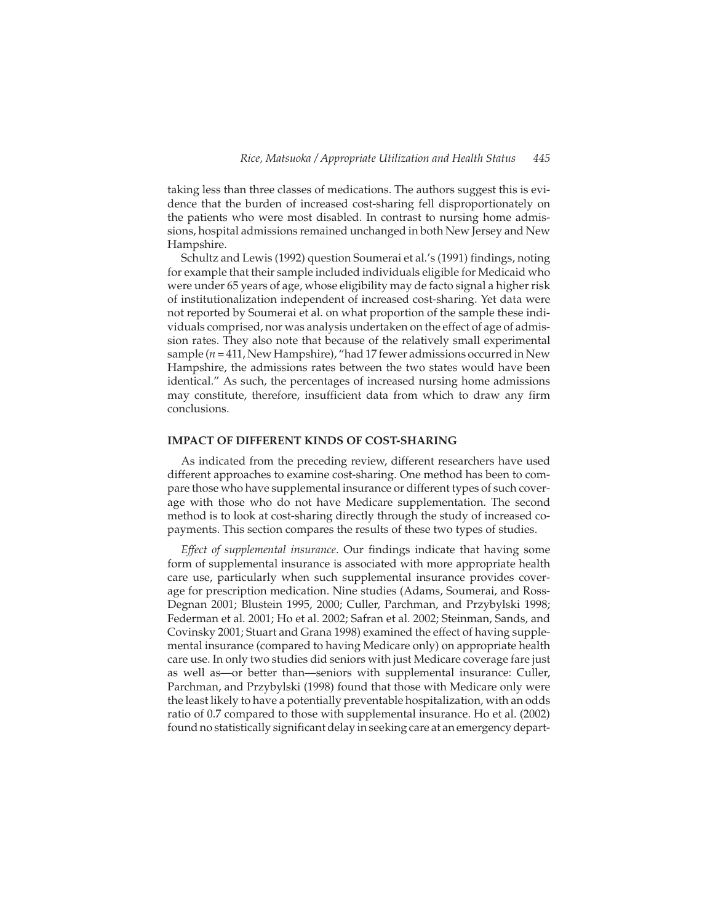taking less than three classes of medications. The authors suggest this is evidence that the burden of increased cost-sharing fell disproportionately on the patients who were most disabled. In contrast to nursing home admissions, hospital admissions remained unchanged in both New Jersey and New Hampshire.

Schultz and Lewis (1992) question Soumerai et al.'s (1991) findings, noting for example that their sample included individuals eligible for Medicaid who were under 65 years of age, whose eligibility may de facto signal a higher risk of institutionalization independent of increased cost-sharing. Yet data were not reported by Soumerai et al. on what proportion of the sample these individuals comprised, nor was analysis undertaken on the effect of age of admission rates. They also note that because of the relatively small experimental sample (*n* = 411, New Hampshire), "had 17 fewer admissions occurred in New Hampshire, the admissions rates between the two states would have been identical." As such, the percentages of increased nursing home admissions may constitute, therefore, insufficient data from which to draw any firm conclusions.

#### **IMPACT OF DIFFERENT KINDS OF COST-SHARING**

As indicated from the preceding review, different researchers have used different approaches to examine cost-sharing. One method has been to compare those who have supplemental insurance or different types of such coverage with those who do not have Medicare supplementation. The second method is to look at cost-sharing directly through the study of increased copayments. This section compares the results of these two types of studies.

*Effect of supplemental insurance*. Our findings indicate that having some form of supplemental insurance is associated with more appropriate health care use, particularly when such supplemental insurance provides coverage for prescription medication. Nine studies (Adams, Soumerai, and Ross-Degnan 2001; Blustein 1995, 2000; Culler, Parchman, and Przybylski 1998; Federman et al. 2001; Ho et al. 2002; Safran et al. 2002; Steinman, Sands, and Covinsky 2001; Stuart and Grana 1998) examined the effect of having supplemental insurance (compared to having Medicare only) on appropriate health care use. In only two studies did seniors with just Medicare coverage fare just as well as—or better than—seniors with supplemental insurance: Culler, Parchman, and Przybylski (1998) found that those with Medicare only were the least likely to have a potentially preventable hospitalization, with an odds ratio of 0.7 compared to those with supplemental insurance. Ho et al. (2002) found no statistically significant delay in seeking care at an emergency depart-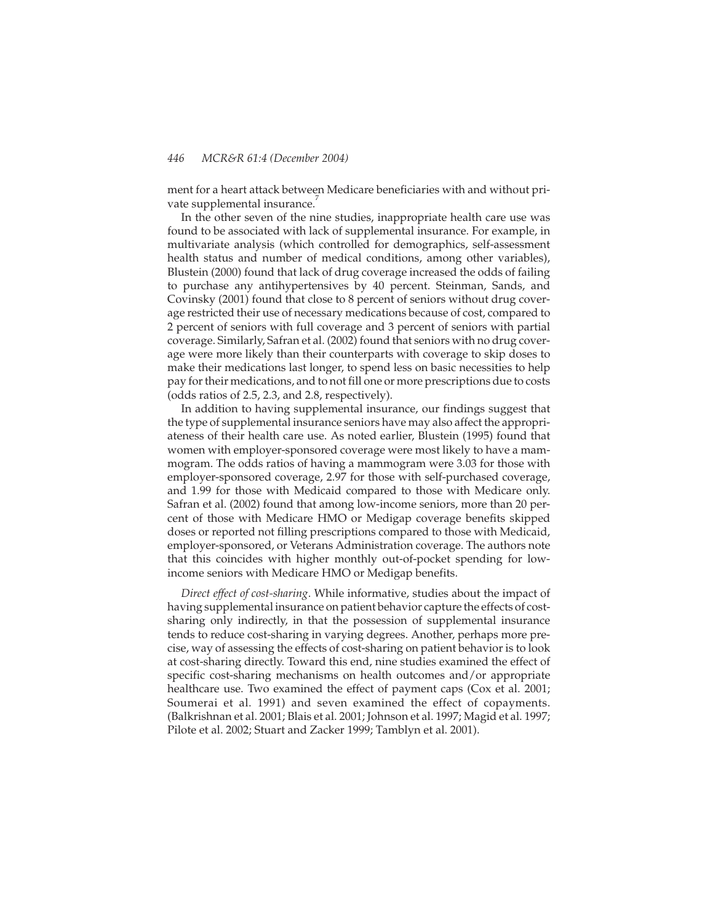ment for a heart attack between Medicare beneficiaries with and without private supplemental insurance.

In the other seven of the nine studies, inappropriate health care use was found to be associated with lack of supplemental insurance. For example, in multivariate analysis (which controlled for demographics, self-assessment health status and number of medical conditions, among other variables), Blustein (2000) found that lack of drug coverage increased the odds of failing to purchase any antihypertensives by 40 percent. Steinman, Sands, and Covinsky (2001) found that close to 8 percent of seniors without drug coverage restricted their use of necessary medications because of cost, compared to 2 percent of seniors with full coverage and 3 percent of seniors with partial coverage. Similarly, Safran et al. (2002) found that seniors with no drug coverage were more likely than their counterparts with coverage to skip doses to make their medications last longer, to spend less on basic necessities to help pay for their medications, and to not fill one or more prescriptions due to costs (odds ratios of 2.5, 2.3, and 2.8, respectively).

In addition to having supplemental insurance, our findings suggest that the type of supplemental insurance seniors have may also affect the appropriateness of their health care use. As noted earlier, Blustein (1995) found that women with employer-sponsored coverage were most likely to have a mammogram. The odds ratios of having a mammogram were 3.03 for those with employer-sponsored coverage, 2.97 for those with self-purchased coverage, and 1.99 for those with Medicaid compared to those with Medicare only. Safran et al. (2002) found that among low-income seniors, more than 20 percent of those with Medicare HMO or Medigap coverage benefits skipped doses or reported not filling prescriptions compared to those with Medicaid, employer-sponsored, or Veterans Administration coverage. The authors note that this coincides with higher monthly out-of-pocket spending for lowincome seniors with Medicare HMO or Medigap benefits.

*Direct effect of cost-sharing*. While informative, studies about the impact of having supplemental insurance on patient behavior capture the effects of costsharing only indirectly, in that the possession of supplemental insurance tends to reduce cost-sharing in varying degrees. Another, perhaps more precise, way of assessing the effects of cost-sharing on patient behavior is to look at cost-sharing directly. Toward this end, nine studies examined the effect of specific cost-sharing mechanisms on health outcomes and/or appropriate healthcare use. Two examined the effect of payment caps (Cox et al. 2001; Soumerai et al. 1991) and seven examined the effect of copayments. (Balkrishnan et al. 2001; Blais et al. 2001; Johnson et al. 1997; Magid et al. 1997; Pilote et al. 2002; Stuart and Zacker 1999; Tamblyn et al. 2001).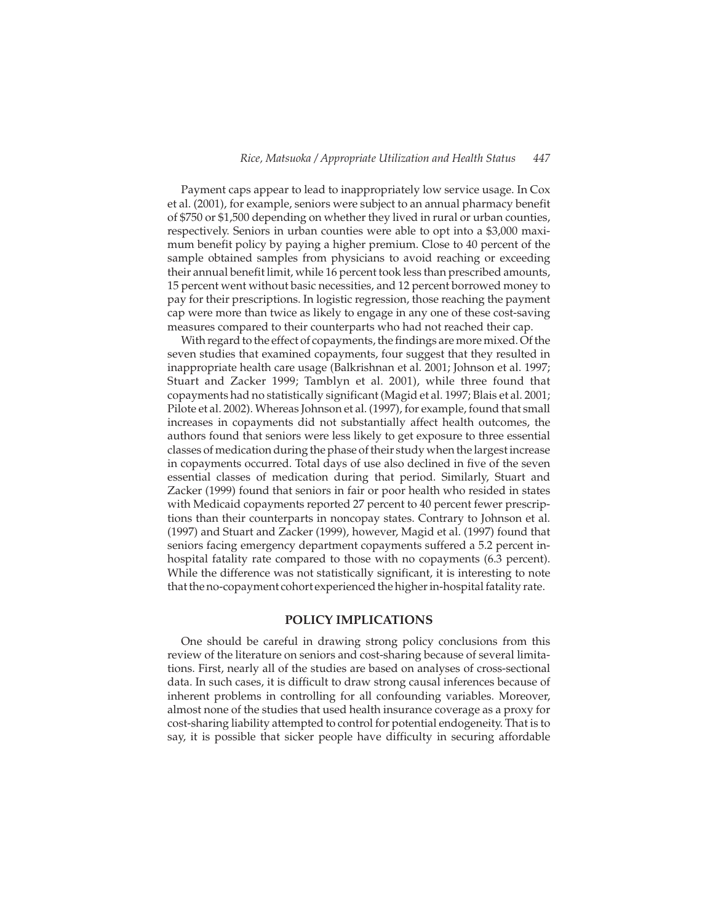Payment caps appear to lead to inappropriately low service usage. In Cox et al. (2001), for example, seniors were subject to an annual pharmacy benefit of \$750 or \$1,500 depending on whether they lived in rural or urban counties, respectively. Seniors in urban counties were able to opt into a \$3,000 maximum benefit policy by paying a higher premium. Close to 40 percent of the sample obtained samples from physicians to avoid reaching or exceeding their annual benefit limit, while 16 percent took less than prescribed amounts, 15 percent went without basic necessities, and 12 percent borrowed money to pay for their prescriptions. In logistic regression, those reaching the payment cap were more than twice as likely to engage in any one of these cost-saving measures compared to their counterparts who had not reached their cap.

With regard to the effect of copayments, the findings are more mixed. Of the seven studies that examined copayments, four suggest that they resulted in inappropriate health care usage (Balkrishnan et al. 2001; Johnson et al. 1997; Stuart and Zacker 1999; Tamblyn et al. 2001), while three found that copayments had no statistically significant (Magid et al. 1997; Blais et al. 2001; Pilote et al. 2002). Whereas Johnson et al. (1997), for example, found that small increases in copayments did not substantially affect health outcomes, the authors found that seniors were less likely to get exposure to three essential classes of medication during the phase of their study when the largest increase in copayments occurred. Total days of use also declined in five of the seven essential classes of medication during that period. Similarly, Stuart and Zacker (1999) found that seniors in fair or poor health who resided in states with Medicaid copayments reported 27 percent to 40 percent fewer prescriptions than their counterparts in noncopay states. Contrary to Johnson et al. (1997) and Stuart and Zacker (1999), however, Magid et al. (1997) found that seniors facing emergency department copayments suffered a 5.2 percent inhospital fatality rate compared to those with no copayments (6.3 percent). While the difference was not statistically significant, it is interesting to note that the no-copayment cohort experienced the higher in-hospital fatality rate.

#### **POLICY IMPLICATIONS**

One should be careful in drawing strong policy conclusions from this review of the literature on seniors and cost-sharing because of several limitations. First, nearly all of the studies are based on analyses of cross-sectional data. In such cases, it is difficult to draw strong causal inferences because of inherent problems in controlling for all confounding variables. Moreover, almost none of the studies that used health insurance coverage as a proxy for cost-sharing liability attempted to control for potential endogeneity. That is to say, it is possible that sicker people have difficulty in securing affordable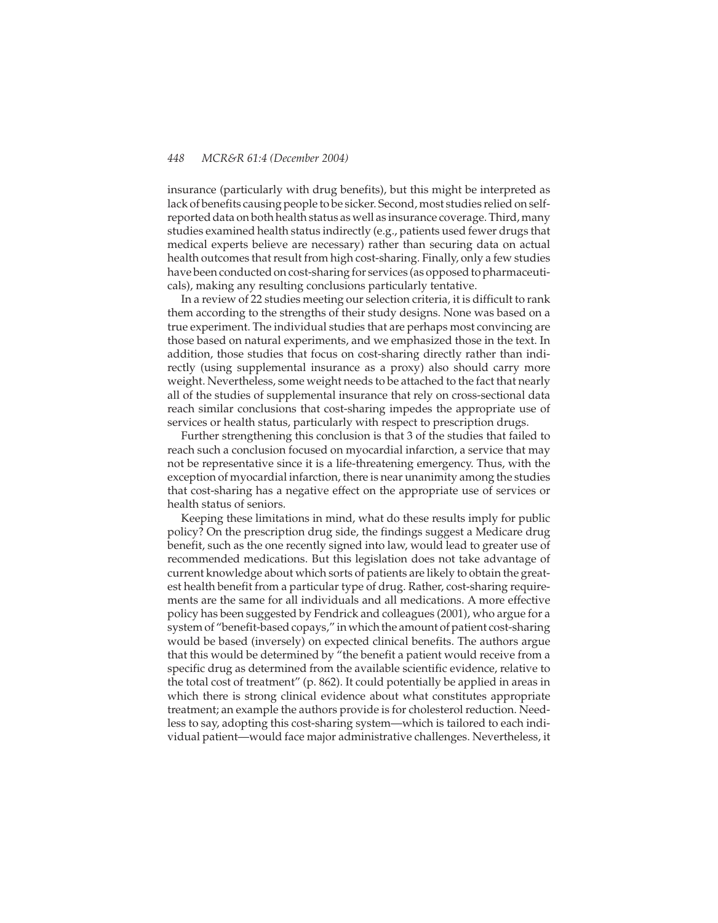insurance (particularly with drug benefits), but this might be interpreted as lack of benefits causing people to be sicker. Second, most studies relied on selfreported data on both health status as well as insurance coverage. Third, many studies examined health status indirectly (e.g., patients used fewer drugs that medical experts believe are necessary) rather than securing data on actual health outcomes that result from high cost-sharing. Finally, only a few studies have been conducted on cost-sharing for services (as opposed to pharmaceuticals), making any resulting conclusions particularly tentative.

In a review of 22 studies meeting our selection criteria, it is difficult to rank them according to the strengths of their study designs. None was based on a true experiment. The individual studies that are perhaps most convincing are those based on natural experiments, and we emphasized those in the text. In addition, those studies that focus on cost-sharing directly rather than indirectly (using supplemental insurance as a proxy) also should carry more weight. Nevertheless, some weight needs to be attached to the fact that nearly all of the studies of supplemental insurance that rely on cross-sectional data reach similar conclusions that cost-sharing impedes the appropriate use of services or health status, particularly with respect to prescription drugs.

Further strengthening this conclusion is that 3 of the studies that failed to reach such a conclusion focused on myocardial infarction, a service that may not be representative since it is a life-threatening emergency. Thus, with the exception of myocardial infarction, there is near unanimity among the studies that cost-sharing has a negative effect on the appropriate use of services or health status of seniors.

Keeping these limitations in mind, what do these results imply for public policy? On the prescription drug side, the findings suggest a Medicare drug benefit, such as the one recently signed into law, would lead to greater use of recommended medications. But this legislation does not take advantage of current knowledge about which sorts of patients are likely to obtain the greatest health benefit from a particular type of drug. Rather, cost-sharing requirements are the same for all individuals and all medications. A more effective policy has been suggested by Fendrick and colleagues (2001), who argue for a system of "benefit-based copays," in which the amount of patient cost-sharing would be based (inversely) on expected clinical benefits. The authors argue that this would be determined by "the benefit a patient would receive from a specific drug as determined from the available scientific evidence, relative to the total cost of treatment" (p. 862). It could potentially be applied in areas in which there is strong clinical evidence about what constitutes appropriate treatment; an example the authors provide is for cholesterol reduction. Needless to say, adopting this cost-sharing system—which is tailored to each individual patient—would face major administrative challenges. Nevertheless, it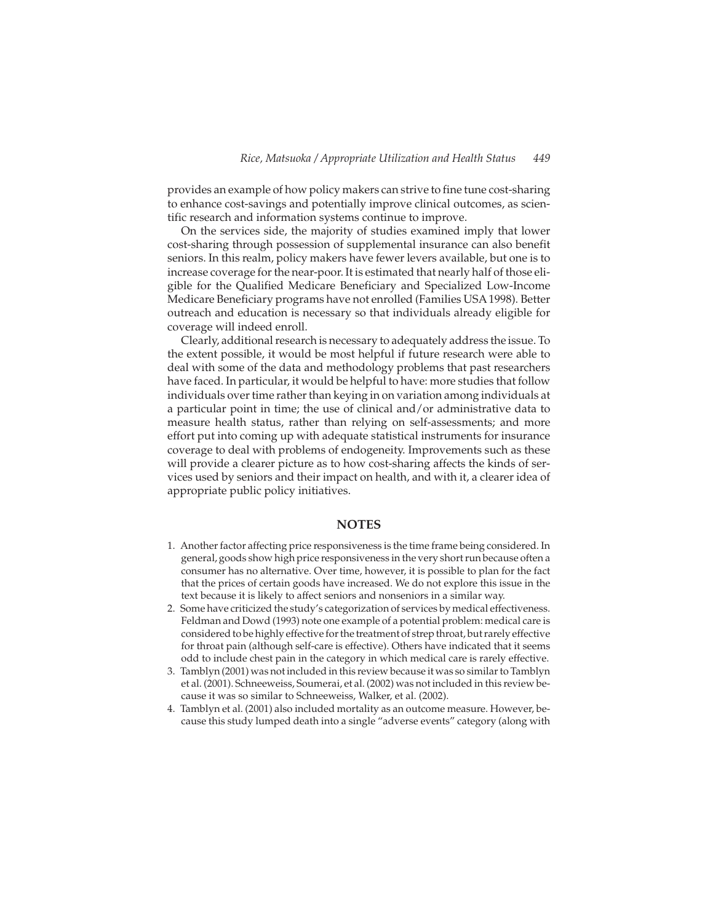provides an example of how policy makers can strive to fine tune cost-sharing to enhance cost-savings and potentially improve clinical outcomes, as scientific research and information systems continue to improve.

On the services side, the majority of studies examined imply that lower cost-sharing through possession of supplemental insurance can also benefit seniors. In this realm, policy makers have fewer levers available, but one is to increase coverage for the near-poor. It is estimated that nearly half of those eligible for the Qualified Medicare Beneficiary and Specialized Low-Income Medicare Beneficiary programs have not enrolled (Families USA 1998). Better outreach and education is necessary so that individuals already eligible for coverage will indeed enroll.

Clearly, additional research is necessary to adequately address the issue. To the extent possible, it would be most helpful if future research were able to deal with some of the data and methodology problems that past researchers have faced. In particular, it would be helpful to have: more studies that follow individuals over time rather than keying in on variation among individuals at a particular point in time; the use of clinical and/or administrative data to measure health status, rather than relying on self-assessments; and more effort put into coming up with adequate statistical instruments for insurance coverage to deal with problems of endogeneity. Improvements such as these will provide a clearer picture as to how cost-sharing affects the kinds of services used by seniors and their impact on health, and with it, a clearer idea of appropriate public policy initiatives.

# **NOTES**

- 1. Another factor affecting price responsiveness is the time frame being considered. In general, goods show high price responsiveness in the very short run because often a consumer has no alternative. Over time, however, it is possible to plan for the fact that the prices of certain goods have increased. We do not explore this issue in the text because it is likely to affect seniors and nonseniors in a similar way.
- 2. Some have criticized the study's categorization of services by medical effectiveness. Feldman and Dowd (1993) note one example of a potential problem: medical care is considered to be highly effective for the treatment of strep throat, but rarely effective for throat pain (although self-care is effective). Others have indicated that it seems odd to include chest pain in the category in which medical care is rarely effective.
- 3. Tamblyn (2001) was not included in this review because it was so similar to Tamblyn et al. (2001). Schneeweiss, Soumerai, et al. (2002) was not included in this review because it was so similar to Schneeweiss, Walker, et al. (2002).
- 4. Tamblyn et al. (2001) also included mortality as an outcome measure. However, because this study lumped death into a single "adverse events" category (along with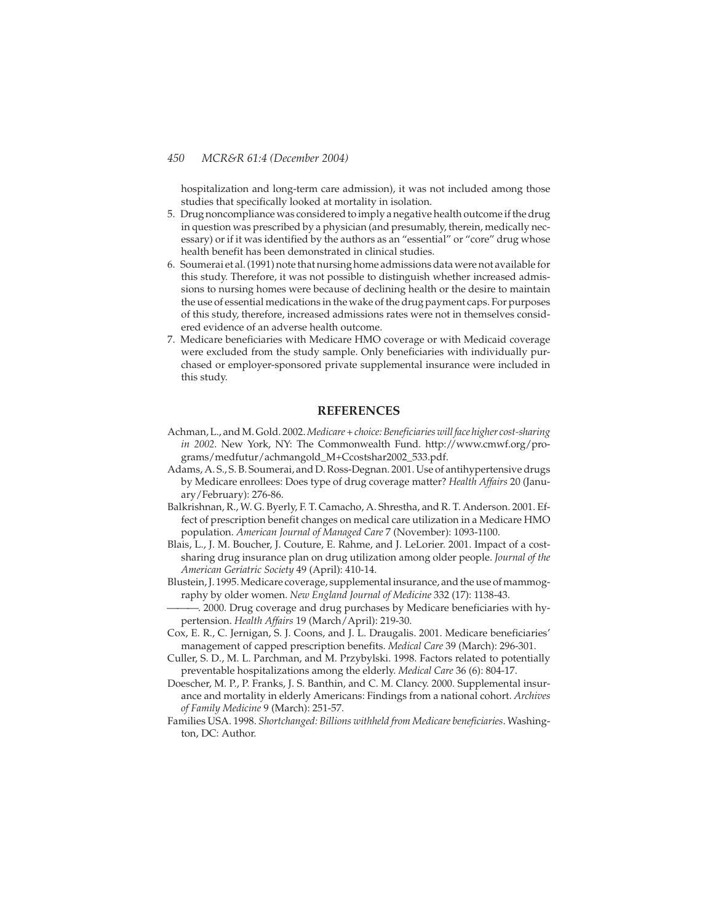hospitalization and long-term care admission), it was not included among those studies that specifically looked at mortality in isolation.

- 5. Drug noncompliance was considered to imply a negative health outcome ifthe drug in question was prescribed by a physician (and presumably, therein, medically necessary) or if it was identified by the authors as an "essential" or "core" drug whose health benefit has been demonstrated in clinical studies.
- 6. Soumerai et al. (1991) note that nursing home admissions data were not available for this study. Therefore, it was not possible to distinguish whether increased admissions to nursing homes were because of declining health or the desire to maintain the use of essential medications in the wake of the drug payment caps. For purposes of this study, therefore, increased admissions rates were not in themselves considered evidence of an adverse health outcome.
- 7. Medicare beneficiaries with Medicare HMO coverage or with Medicaid coverage were excluded from the study sample. Only beneficiaries with individually purchased or employer-sponsored private supplemental insurance were included in this study.

# **REFERENCES**

- Achman, L., and M. Gold. 2002.*Medicare + choice: Beneficiaries will face higher cost-sharing in 2002*. New York, NY: The Commonwealth Fund. http://www.cmwf.org/programs/medfutur/achmangold\_M+Ccostshar2002\_533.pdf.
- Adams, A. S., S. B. Soumerai, and D. Ross-Degnan. 2001. Use of antihypertensive drugs by Medicare enrollees: Does type of drug coverage matter? *Health Affairs* 20 (January/February): 276-86.
- Balkrishnan, R., W. G. Byerly, F. T. Camacho, A. Shrestha, and R. T. Anderson. 2001. Effect of prescription benefit changes on medical care utilization in a Medicare HMO population. *American Journal of Managed Care* 7 (November): 1093-1100.
- Blais, L., J. M. Boucher, J. Couture, E. Rahme, and J. LeLorier. 2001. Impact of a costsharing drug insurance plan on drug utilization among older people. *Journal of the American Geriatric Society* 49 (April): 410-14.
- Blustein, J. 1995. Medicare coverage, supplemental insurance, and the use of mammography by older women. *New England Journal of Medicine* 332 (17): 1138-43.
- . 2000. Drug coverage and drug purchases by Medicare beneficiaries with hypertension. *Health Affairs* 19 (March/April): 219-30.
- Cox, E. R., C. Jernigan, S. J. Coons, and J. L. Draugalis. 2001. Medicare beneficiaries' management of capped prescription benefits. *Medical Care* 39 (March): 296-301.
- Culler, S. D., M. L. Parchman, and M. Przybylski. 1998. Factors related to potentially preventable hospitalizations among the elderly. *Medical Care* 36 (6): 804-17.
- Doescher, M. P., P. Franks, J. S. Banthin, and C. M. Clancy. 2000. Supplemental insurance and mortality in elderly Americans: Findings from a national cohort. *Archives of Family Medicine* 9 (March): 251-57.
- Families USA. 1998. *Shortchanged: Billions withheld from Medicare beneficiaries*. Washington, DC: Author.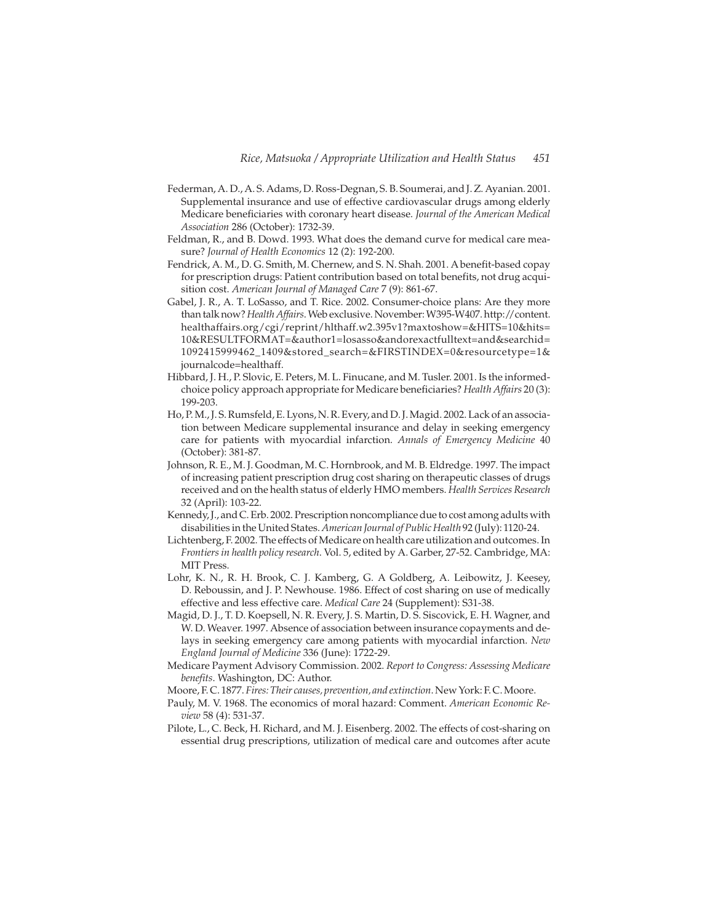- Federman, A. D., A. S. Adams, D. Ross-Degnan, S. B. Soumerai, and J. Z. Ayanian. 2001. Supplemental insurance and use of effective cardiovascular drugs among elderly Medicare beneficiaries with coronary heart disease. *Journal of the American Medical Association* 286 (October): 1732-39.
- Feldman, R., and B. Dowd. 1993. What does the demand curve for medical care measure? *Journal of Health Economics* 12 (2): 192-200.
- Fendrick, A. M., D. G. Smith, M. Chernew, and S. N. Shah. 2001. A benefit-based copay for prescription drugs: Patient contribution based on total benefits, not drug acquisition cost. *American Journal of Managed Care* 7 (9): 861-67.
- Gabel, J. R., A. T. LoSasso, and T. Rice. 2002. Consumer-choice plans: Are they more than talk now?*Health Affairs*. Web exclusive. November: W395-W407. http://content. healthaffairs.org/cgi/reprint/hlthaff.w2.395v1?maxtoshow=&HITS=10&hits= 10&RESULTFORMAT=&author1=losasso&andorexactfulltext=and&searchid= 1092415999462\_1409&stored\_search=&FIRSTINDEX=0&resourcetype=1& journalcode=healthaff.
- Hibbard, J. H., P. Slovic, E. Peters, M. L. Finucane, and M. Tusler. 2001. Is the informedchoice policy approach appropriate for Medicare beneficiaries? *Health Affairs* 20 (3): 199-203.
- Ho, P. M., J. S. Rumsfeld, E. Lyons, N. R. Every, and D. J. Magid. 2002. Lack of an association between Medicare supplemental insurance and delay in seeking emergency care for patients with myocardial infarction. *Annals of Emergency Medicine* 40 (October): 381-87.
- Johnson, R. E., M. J. Goodman, M. C. Hornbrook, and M. B. Eldredge. 1997. The impact of increasing patient prescription drug cost sharing on therapeutic classes of drugs received and on the health status of elderly HMO members. *Health Services Research* 32 (April): 103-22.
- Kennedy, J., and C. Erb. 2002. Prescription noncompliance due to cost among adults with disabilities in the United States. *American Journal of Public Health* 92 (July): 1120-24.
- Lichtenberg, F. 2002. The effects of Medicare on health care utilization and outcomes. In *Frontiers in health policy research*. Vol. 5, edited by A. Garber, 27-52. Cambridge, MA: MIT Press.
- Lohr, K. N., R. H. Brook, C. J. Kamberg, G. A Goldberg, A. Leibowitz, J. Keesey, D. Reboussin, and J. P. Newhouse. 1986. Effect of cost sharing on use of medically effective and less effective care. *Medical Care* 24 (Supplement): S31-38.
- Magid, D. J., T. D. Koepsell, N. R. Every, J. S. Martin, D. S. Siscovick, E. H. Wagner, and W. D. Weaver. 1997. Absence of association between insurance copayments and delays in seeking emergency care among patients with myocardial infarction. *New England Journal of Medicine* 336 (June): 1722-29.
- Medicare Payment Advisory Commission. 2002. *Report to Congress: Assessing Medicare benefits*. Washington, DC: Author.
- Moore, F. C. 1877. *Fires: Their causes, prevention, and extinction*. New York: F. C. Moore.
- Pauly, M. V. 1968. The economics of moral hazard: Comment. *American Economic Review* 58 (4): 531-37.
- Pilote, L., C. Beck, H. Richard, and M. J. Eisenberg. 2002. The effects of cost-sharing on essential drug prescriptions, utilization of medical care and outcomes after acute